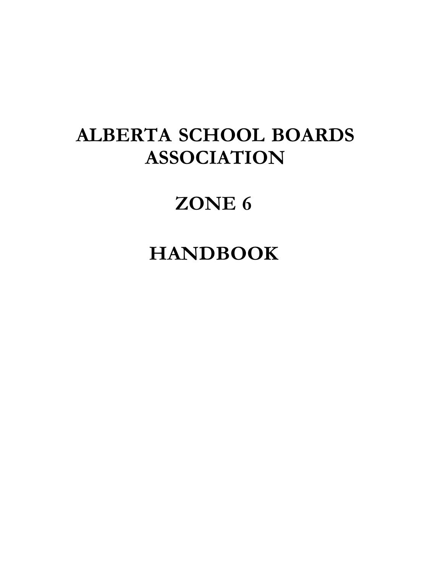# **ALBERTA SCHOOL BOARDS ASSOCIATION**

# **ZONE 6**

## **HANDBOOK**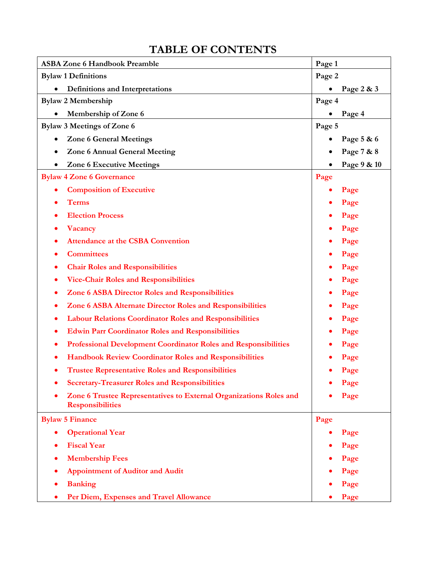| <b>ASBA Zone 6 Handbook Preamble</b>                                                          | Page 1          |
|-----------------------------------------------------------------------------------------------|-----------------|
| <b>Bylaw 1 Definitions</b>                                                                    | Page 2          |
| Definitions and Interpretations<br>$\bullet$                                                  | Page 2 & 3<br>٠ |
| <b>Bylaw 2 Membership</b>                                                                     | Page 4          |
| Membership of Zone 6                                                                          | Page 4          |
| <b>Bylaw 3 Meetings of Zone 6</b>                                                             | Page 5          |
| <b>Zone 6 General Meetings</b>                                                                | Page 5 & 6      |
| <b>Zone 6 Annual General Meeting</b>                                                          | Page 7 & 8      |
| <b>Zone 6 Executive Meetings</b>                                                              | Page 9 & 10     |
| <b>Bylaw 4 Zone 6 Governance</b>                                                              | Page            |
| <b>Composition of Executive</b><br>$\bullet$                                                  | Page            |
| <b>Terms</b><br>$\bullet$                                                                     | Page            |
| <b>Election Process</b><br>$\bullet$                                                          | Page            |
| <b>Vacancy</b><br>$\bullet$                                                                   | Page            |
| <b>Attendance at the CSBA Convention</b>                                                      | Page            |
| <b>Committees</b>                                                                             | Page            |
| <b>Chair Roles and Responsibilities</b><br>$\bullet$                                          | Page            |
| <b>Vice-Chair Roles and Responsibilities</b><br>٠                                             | Page            |
| Zone 6 ASBA Director Roles and Responsibilities<br>٠                                          | Page            |
| Zone 6 ASBA Alternate Director Roles and Responsibilities                                     | Page            |
| <b>Labour Relations Coordinator Roles and Responsibilities</b><br>$\bullet$                   | Page            |
| <b>Edwin Parr Coordinator Roles and Responsibilities</b><br>٠                                 | Page            |
| <b>Professional Development Coordinator Roles and Responsibilities</b><br>$\bullet$           | Page            |
| <b>Handbook Review Coordinator Roles and Responsibilities</b><br>$\bullet$                    | Page            |
| <b>Trustee Representative Roles and Responsibilities</b>                                      | Page            |
| <b>Secretary-Treasurer Roles and Responsibilities</b>                                         | Page            |
| Zone 6 Trustee Representatives to External Organizations Roles and<br><b>Responsibilities</b> | Page            |
| <b>Bylaw 5 Finance</b>                                                                        | Page            |
| <b>Operational Year</b><br>$\bullet$                                                          | Page            |
| <b>Fiscal Year</b>                                                                            | Page            |
| <b>Membership Fees</b>                                                                        | Page            |
| <b>Appointment of Auditor and Audit</b>                                                       | Page            |
| <b>Banking</b>                                                                                | Page            |
| Per Diem, Expenses and Travel Allowance                                                       | Page            |

## **TABLE OF CONTENTS**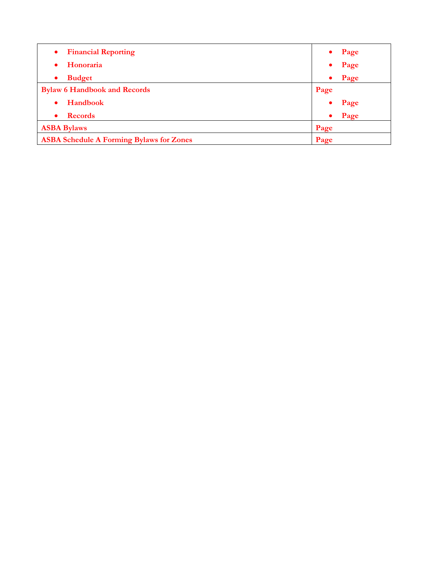| <b>Financial Reporting</b><br>$\bullet$         | Page              |
|-------------------------------------------------|-------------------|
| Honoraria                                       | Page              |
| <b>Budget</b>                                   | Page<br>$\bullet$ |
| <b>Bylaw 6 Handbook and Records</b>             | Page              |
| Handbook                                        | Page              |
| <b>Records</b>                                  | Page<br>$\bullet$ |
| <b>ASBA Bylaws</b>                              | Page              |
| <b>ASBA Schedule A Forming Bylaws for Zones</b> | Page              |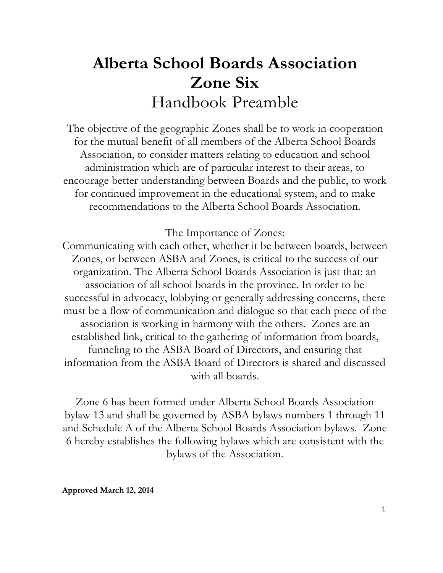## **Alberta School Boards Association Zone Six**  Handbook Preamble

The objective of the geographic Zones shall be to work in cooperation for the mutual benefit of all members of the Alberta School Boards Association, to consider matters relating to education and school administration which are of particular interest to their areas, to encourage better understanding between Boards and the public, to work for continued improvement in the educational system, and to make recommendations to the Alberta School Boards Association.

The Importance of Zones:

Communicating with each other, whether it be between boards, between Zones, or between ASBA and Zones, is critical to the success of our organization. The Alberta School Boards Association is just that: an association of all school boards in the province. In order to be successful in advocacy, lobbying or generally addressing concerns, there must be a flow of communication and dialogue so that each piece of the association is working in harmony with the others. Zones are an established link, critical to the gathering of information from boards, funneling to the ASBA Board of Directors, and ensuring that information from the ASBA Board of Directors is shared and discussed with all boards.

Zone 6 has been formed under Alberta School Boards Association bylaw 13 and shall be governed by ASBA bylaws numbers 1 through 11 and Schedule A of the Alberta School Boards Association bylaws. Zone 6 hereby establishes the following bylaws which are consistent with the bylaws of the Association.

**Approved March 12, 2014**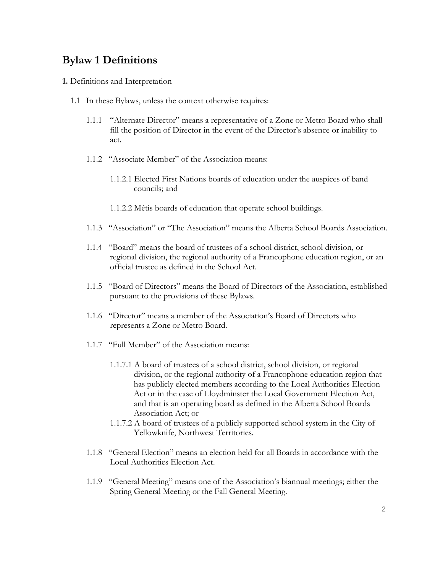## **Bylaw 1 Definitions**

- **1.** Definitions and Interpretation
	- 1.1 In these Bylaws, unless the context otherwise requires:
		- 1.1.1 "Alternate Director" means a representative of a Zone or Metro Board who shall fill the position of Director in the event of the Director's absence or inability to act.
		- 1.1.2 "Associate Member" of the Association means:
			- 1.1.2.1 Elected First Nations boards of education under the auspices of band councils; and
			- 1.1.2.2 Métis boards of education that operate school buildings.
		- 1.1.3 "Association" or "The Association" means the Alberta School Boards Association.
		- 1.1.4 "Board" means the board of trustees of a school district, school division, or regional division, the regional authority of a Francophone education region, or an official trustee as defined in the School Act.
		- 1.1.5 "Board of Directors" means the Board of Directors of the Association, established pursuant to the provisions of these Bylaws.
		- 1.1.6 "Director" means a member of the Association's Board of Directors who represents a Zone or Metro Board.
		- 1.1.7 "Full Member" of the Association means:
			- 1.1.7.1 A board of trustees of a school district, school division, or regional division, or the regional authority of a Francophone education region that has publicly elected members according to the Local Authorities Election Act or in the case of Lloydminster the Local Government Election Act, and that is an operating board as defined in the Alberta School Boards Association Act; or
			- 1.1.7.2 A board of trustees of a publicly supported school system in the City of Yellowknife, Northwest Territories.
		- 1.1.8 "General Election" means an election held for all Boards in accordance with the Local Authorities Election Act.
		- 1.1.9 "General Meeting" means one of the Association's biannual meetings; either the Spring General Meeting or the Fall General Meeting.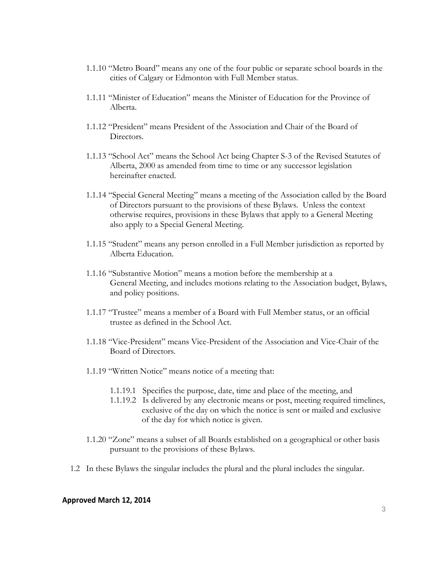- 1.1.10 "Metro Board" means any one of the four public or separate school boards in the cities of Calgary or Edmonton with Full Member status.
- 1.1.11 "Minister of Education" means the Minister of Education for the Province of Alberta.
- 1.1.12 "President" means President of the Association and Chair of the Board of Directors.
- 1.1.13 "School Act" means the School Act being Chapter S-3 of the Revised Statutes of Alberta, 2000 as amended from time to time or any successor legislation hereinafter enacted.
- 1.1.14 "Special General Meeting" means a meeting of the Association called by the Board of Directors pursuant to the provisions of these Bylaws. Unless the context otherwise requires, provisions in these Bylaws that apply to a General Meeting also apply to a Special General Meeting.
- 1.1.15 "Student" means any person enrolled in a Full Member jurisdiction as reported by Alberta Education.
- 1.1.16 "Substantive Motion" means a motion before the membership at a General Meeting, and includes motions relating to the Association budget, Bylaws, and policy positions.
- 1.1.17 "Trustee" means a member of a Board with Full Member status, or an official trustee as defined in the School Act.
- 1.1.18 "Vice-President" means Vice-President of the Association and Vice-Chair of the Board of Directors.
- 1.1.19 "Written Notice" means notice of a meeting that:
	- 1.1.19.1 Specifies the purpose, date, time and place of the meeting, and
	- 1.1.19.2 Is delivered by any electronic means or post, meeting required timelines, exclusive of the day on which the notice is sent or mailed and exclusive of the day for which notice is given.
- 1.1.20 "Zone" means a subset of all Boards established on a geographical or other basis pursuant to the provisions of these Bylaws.
- 1.2 In these Bylaws the singular includes the plural and the plural includes the singular.

#### **Approved March 12, 2014**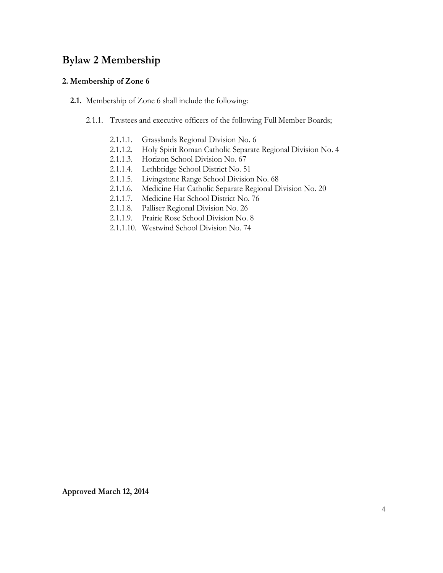## **Bylaw 2 Membership**

#### **2. Membership of Zone 6**

- **2.1.** Membership of Zone 6 shall include the following:
	- 2.1.1. Trustees and executive officers of the following Full Member Boards;
		- 2.1.1.1. Grasslands Regional Division No. 6
		- 2.1.1.2. Holy Spirit Roman Catholic Separate Regional Division No. 4
		- 2.1.1.3. Horizon School Division No. 67
		- 2.1.1.4. Lethbridge School District No. 51
		- 2.1.1.5. Livingstone Range School Division No. 68
		- 2.1.1.6. Medicine Hat Catholic Separate Regional Division No. 20
		- 2.1.1.7. Medicine Hat School District No. 76
		- 2.1.1.8. Palliser Regional Division No. 26
		- 2.1.1.9. Prairie Rose School Division No. 8
		- 2.1.1.10. Westwind School Division No. 74

**Approved March 12, 2014**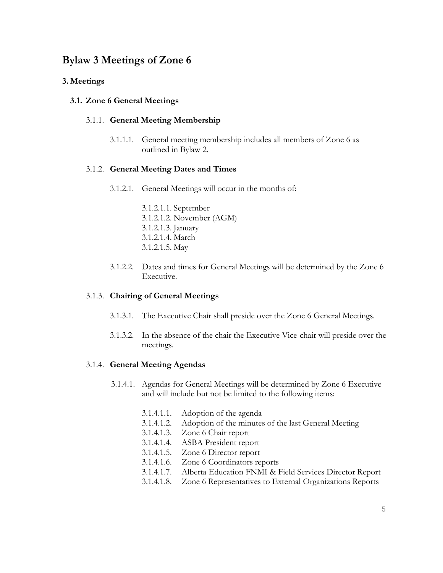## **Bylaw 3 Meetings of Zone 6**

#### **3. Meetings**

#### **3.1. Zone 6 General Meetings**

#### 3.1.1. **General Meeting Membership**

3.1.1.1. General meeting membership includes all members of Zone 6 as outlined in Bylaw 2.

#### 3.1.2. **General Meeting Dates and Times**

- 3.1.2.1. General Meetings will occur in the months of:
	- 3.1.2.1.1. September 3.1.2.1.2. November (AGM) 3.1.2.1.3. January 3.1.2.1.4. March 3.1.2.1.5. May
- 3.1.2.2. Dates and times for General Meetings will be determined by the Zone 6 Executive.

#### 3.1.3. **Chairing of General Meetings**

- 3.1.3.1. The Executive Chair shall preside over the Zone 6 General Meetings.
- 3.1.3.2. In the absence of the chair the Executive Vice-chair will preside over the meetings.

#### 3.1.4. **General Meeting Agendas**

- 3.1.4.1. Agendas for General Meetings will be determined by Zone 6 Executive and will include but not be limited to the following items:
	- 3.1.4.1.1. Adoption of the agenda
	- 3.1.4.1.2. Adoption of the minutes of the last General Meeting
	- 3.1.4.1.3. Zone 6 Chair report
	- 3.1.4.1.4. ASBA President report
	- 3.1.4.1.5. Zone 6 Director report
	- 3.1.4.1.6. Zone 6 Coordinators reports
	- 3.1.4.1.7. Alberta Education FNMI & Field Services Director Report
	- 3.1.4.1.8. Zone 6 Representatives to External Organizations Reports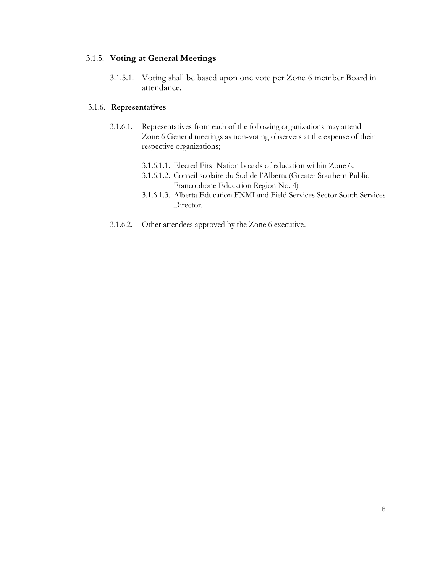#### 3.1.5. **Voting at General Meetings**

3.1.5.1. Voting shall be based upon one vote per Zone 6 member Board in attendance.

#### 3.1.6. **Representatives**

- 3.1.6.1. Representatives from each of the following organizations may attend Zone 6 General meetings as non-voting observers at the expense of their respective organizations;
	- 3.1.6.1.1. Elected First Nation boards of education within Zone 6.
	- 3.1.6.1.2. Conseil scolaire du Sud de l'Alberta (Greater Southern Public Francophone Education Region No. 4)
	- 3.1.6.1.3. Alberta Education FNMI and Field Services Sector South Services Director.
- 3.1.6.2. Other attendees approved by the Zone 6 executive.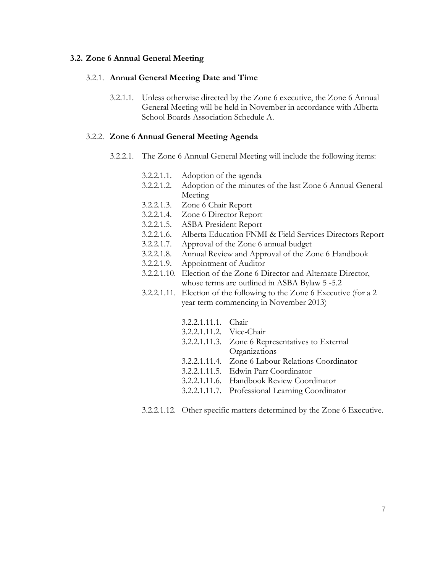#### **3.2. Zone 6 Annual General Meeting**

#### 3.2.1. **Annual General Meeting Date and Time**

3.2.1.1. Unless otherwise directed by the Zone 6 executive, the Zone 6 Annual General Meeting will be held in November in accordance with Alberta School Boards Association Schedule A.

#### 3.2.2. **Zone 6 Annual General Meeting Agenda**

- 3.2.2.1. The Zone 6 Annual General Meeting will include the following items:
	- 3.2.2.1.1. Adoption of the agenda
	- 3.2.2.1.2. Adoption of the minutes of the last Zone 6 Annual General Meeting
	- 3.2.2.1.3. Zone 6 Chair Report
	- 3.2.2.1.4. Zone 6 Director Report
	- 3.2.2.1.5. ASBA President Report
	- 3.2.2.1.6. Alberta Education FNMI & Field Services Directors Report
	- 3.2.2.1.7. Approval of the Zone 6 annual budget
	- 3.2.2.1.8. Annual Review and Approval of the Zone 6 Handbook
	- 3.2.2.1.9. Appointment of Auditor
	- 3.2.2.1.10. Election of the Zone 6 Director and Alternate Director, whose terms are outlined in ASBA Bylaw 5 -5.2
	- 3.2.2.1.11. Election of the following to the Zone 6 Executive (for a 2 year term commencing in November 2013)

| 3.2.2.1.11.1. Chair      |                                                   |
|--------------------------|---------------------------------------------------|
| 3.2.2.1.11.2. Vice-Chair |                                                   |
|                          | 3.2.2.1.11.3. Zone 6 Representatives to External  |
|                          | Organizations                                     |
|                          | 3.2.2.1.11.4. Zone 6 Labour Relations Coordinator |
|                          | 3.2.2.1.11.5. Edwin Parr Coordinator              |
|                          | 3.2.2.1.11.6. Handbook Review Coordinator         |
|                          | 3.2.2.1.11.7. Professional Learning Coordinator   |
|                          |                                                   |

3.2.2.1.12. Other specific matters determined by the Zone 6 Executive.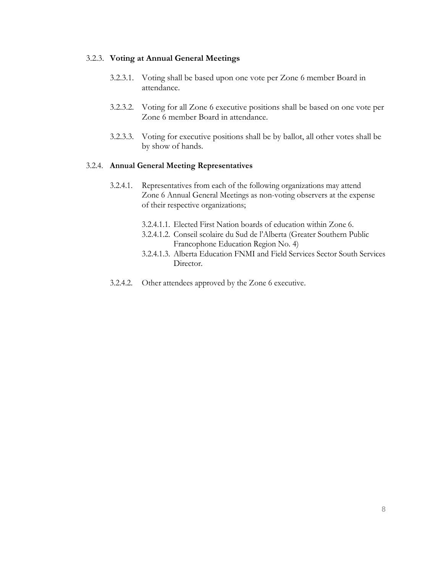#### 3.2.3. **Voting at Annual General Meetings**

- 3.2.3.1. Voting shall be based upon one vote per Zone 6 member Board in attendance.
- 3.2.3.2. Voting for all Zone 6 executive positions shall be based on one vote per Zone 6 member Board in attendance.
- 3.2.3.3. Voting for executive positions shall be by ballot, all other votes shall be by show of hands.

#### 3.2.4. **Annual General Meeting Representatives**

- 3.2.4.1. Representatives from each of the following organizations may attend Zone 6 Annual General Meetings as non-voting observers at the expense of their respective organizations;
	- 3.2.4.1.1. Elected First Nation boards of education within Zone 6.
	- 3.2.4.1.2. Conseil scolaire du Sud de l'Alberta (Greater Southern Public Francophone Education Region No. 4)
	- 3.2.4.1.3. Alberta Education FNMI and Field Services Sector South Services Director.
- 3.2.4.2. Other attendees approved by the Zone 6 executive.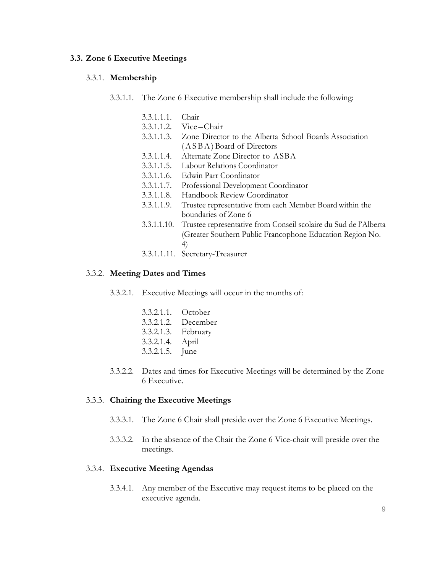#### **3.3. Zone 6 Executive Meetings**

#### 3.3.1. **Membership**

- 3.3.1.1. The Zone 6 Executive membership shall include the following:
	- 3.3.1.1.1. Chair
	- 3.3.1.1.2. Vice–Chair
	- 3.3.1.1.3. Zone Director to the Alberta School Boards Association ( A S B A ) Board of Directors
	- 3.3.1.1.4. Alternate Zone Director to ASBA
	- 3.3.1.1.5. Labour Relations Coordinator
	- 3.3.1.1.6. Edwin Parr Coordinator
	- 3.3.1.1.7. Professional Development Coordinator
	- 3.3.1.1.8. Handbook Review Coordinator
	- 3.3.1.1.9. Trustee representative from each Member Board within the boundaries of Zone 6
	- 3.3.1.1.10. Trustee representative from Conseil scolaire du Sud de l'Alberta (Greater Southern Public Francophone Education Region No. 4)
	- 3.3.1.1.11. Secretary-Treasurer

#### 3.3.2. **Meeting Dates and Times**

- 3.3.2.1. Executive Meetings will occur in the months of:
	- 3.3.2.1.1. October 3.3.2.1.2. December 3.3.2.1.3. February 3.3.2.1.4. April 3.3.2.1.5. June
- 3.3.2.2. Dates and times for Executive Meetings will be determined by the Zone 6 Executive.

#### 3.3.3. **Chairing the Executive Meetings**

- 3.3.3.1. The Zone 6 Chair shall preside over the Zone 6 Executive Meetings.
- 3.3.3.2. In the absence of the Chair the Zone 6 Vice-chair will preside over the meetings.

#### 3.3.4. **Executive Meeting Agendas**

3.3.4.1. Any member of the Executive may request items to be placed on the executive agenda.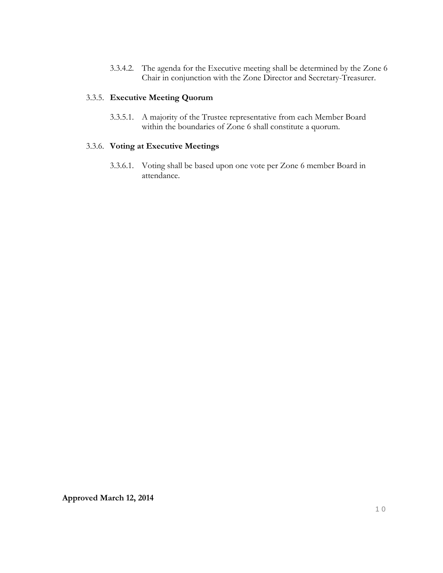3.3.4.2. The agenda for the Executive meeting shall be determined by the Zone 6 Chair in conjunction with the Zone Director and Secretary-Treasurer.

#### 3.3.5. **Executive Meeting Quorum**

3.3.5.1. A majority of the Trustee representative from each Member Board within the boundaries of Zone 6 shall constitute a quorum.

#### 3.3.6. **Voting at Executive Meetings**

3.3.6.1. Voting shall be based upon one vote per Zone 6 member Board in attendance.

**Approved March 12, 2014**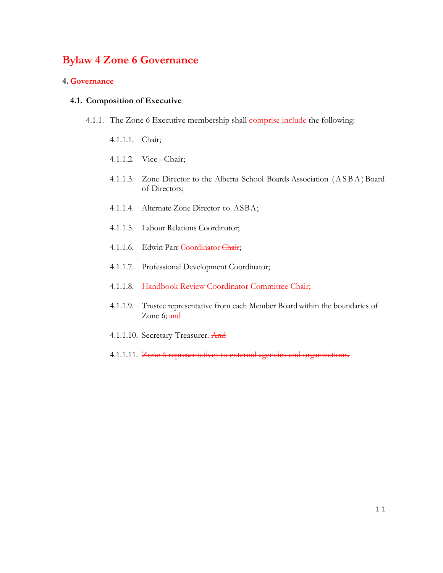## **Bylaw 4 Zone 6 Governance**

#### **4. Governance**

#### **4.1. Composition of Executive**

- 4.1.1. The Zone 6 Executive membership shall comprise include the following:
	- 4.1.1.1. Chair;
	- 4.1.1.2. Vice –Chair;
	- 4.1.1.3. Zone Director to the Alberta School Boards Association ( A S B A ) Board of Directors;
	- 4.1.1.4. Alternate Zone Director to ASBA;
	- 4.1.1.5. Labour Relations Coordinator;
	- 4.1.1.6. Edwin Parr Coordinator Chair;
	- 4.1.1.7. Professional Development Coordinator;
	- 4.1.1.8. Handbook Review Coordinator Committee Chair;
	- 4.1.1.9. Trustee representative from each Member Board within the boundaries of Zone 6; and
	- 4.1.1.10. Secretary-Treasurer. And
	- 4.1.1.11. Zone 6 representatives to external agencies and organizations.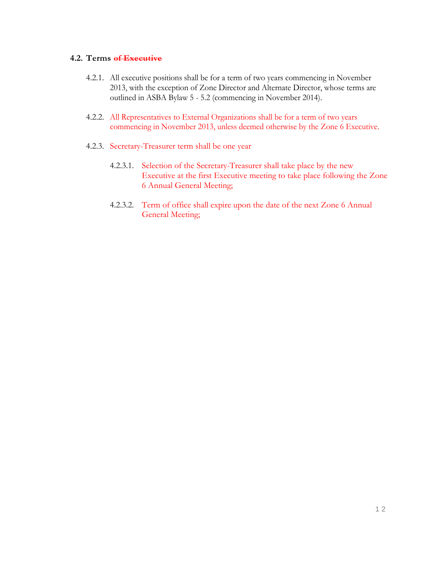#### **4.2. Terms of Executive**

- 4.2.1. All executive positions shall be for a term of two years commencing in November 2013, with the exception of Zone Director and Alternate Director, whose terms are outlined in ASBA Bylaw 5 - 5.2 (commencing in November 2014).
- 4.2.2. All Representatives to External Organizations shall be for a term of two years commencing in November 2013, unless deemed otherwise by the Zone 6 Executive.
- 4.2.3. Secretary-Treasurer term shall be one year
	- 4.2.3.1. Selection of the Secretary-Treasurer shall take place by the new Executive at the first Executive meeting to take place following the Zone 6 Annual General Meeting;
	- 4.2.3.2. Term of office shall expire upon the date of the next Zone 6 Annual General Meeting;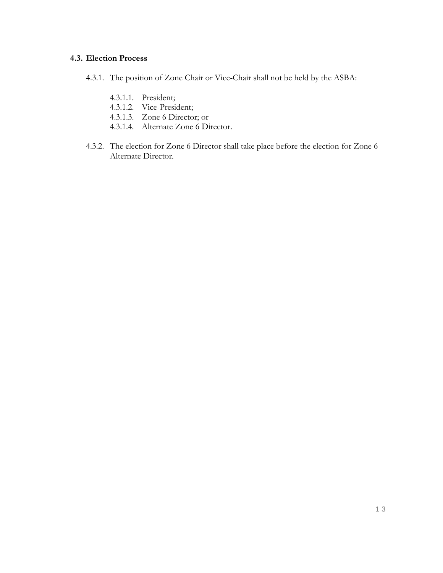#### **4.3. Election Process**

- 4.3.1. The position of Zone Chair or Vice-Chair shall not be held by the ASBA:
	- 4.3.1.1. President;
	- 4.3.1.2. Vice-President;
	- 4.3.1.3. Zone 6 Director; or
	- 4.3.1.4. Alternate Zone 6 Director.
- 4.3.2. The election for Zone 6 Director shall take place before the election for Zone 6 Alternate Director.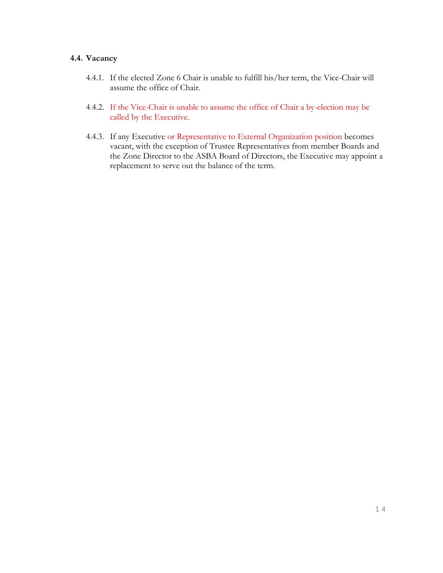#### **4.4. Vacancy**

- 4.4.1. If the elected Zone 6 Chair is unable to fulfill his/her term, the Vice-Chair will assume the office of Chair.
- 4.4.2. If the Vice-Chair is unable to assume the office of Chair a by-election may be called by the Executive.
- 4.4.3. If any Executive or Representative to External Organization position becomes vacant, with the exception of Trustee Representatives from member Boards and the Zone Director to the ASBA Board of Directors, the Executive may appoint a replacement to serve out the balance of the term.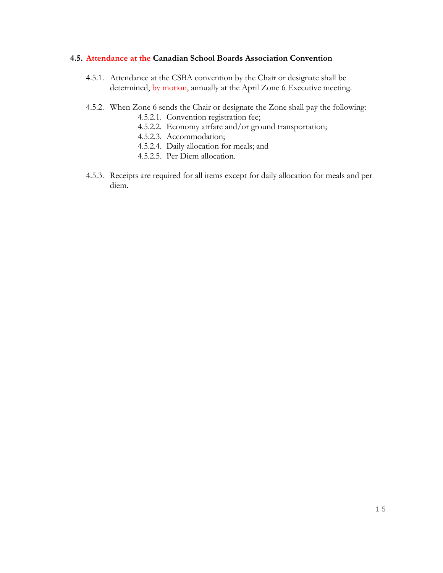#### **4.5. Attendance at the Canadian School Boards Association Convention**

- 4.5.1. Attendance at the CSBA convention by the Chair or designate shall be determined, by motion, annually at the April Zone 6 Executive meeting.
- 4.5.2. When Zone 6 sends the Chair or designate the Zone shall pay the following:
	- 4.5.2.1. Convention registration fee;
	- 4.5.2.2. Economy airfare and/or ground transportation;
	- 4.5.2.3. Accommodation;
	- 4.5.2.4. Daily allocation for meals; and
	- 4.5.2.5. Per Diem allocation.
- 4.5.3. Receipts are required for all items except for daily allocation for meals and per diem.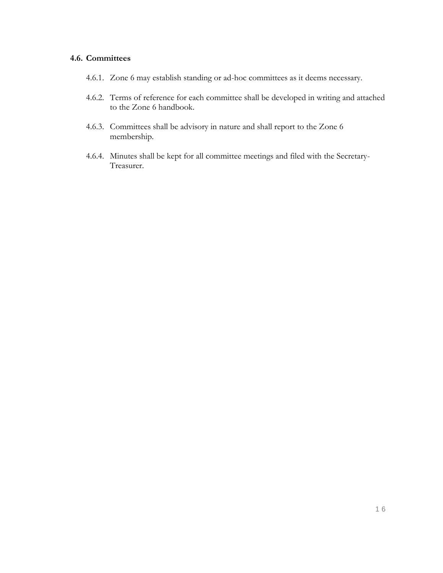#### **4.6. Committees**

- 4.6.1. Zone 6 may establish standing or ad-hoc committees as it deems necessary.
- 4.6.2. Terms of reference for each committee shall be developed in writing and attached to the Zone 6 handbook.
- 4.6.3. Committees shall be advisory in nature and shall report to the Zone 6 membership.
- 4.6.4. Minutes shall be kept for all committee meetings and filed with the Secretary-Treasurer.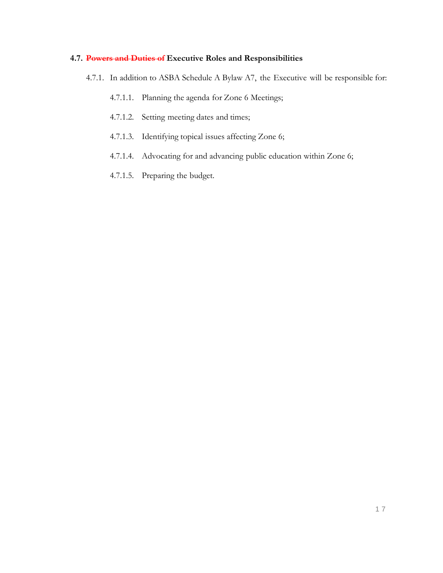## **4.7. Powers and Duties of Executive Roles and Responsibilities**

- 4.7.1. In addition to ASBA Schedule A Bylaw A7, the Executive will be responsible for:
	- 4.7.1.1. Planning the agenda for Zone 6 Meetings;
	- 4.7.1.2. Setting meeting dates and times;
	- 4.7.1.3. Identifying topical issues affecting Zone 6;
	- 4.7.1.4. Advocating for and advancing public education within Zone 6;
	- 4.7.1.5. Preparing the budget.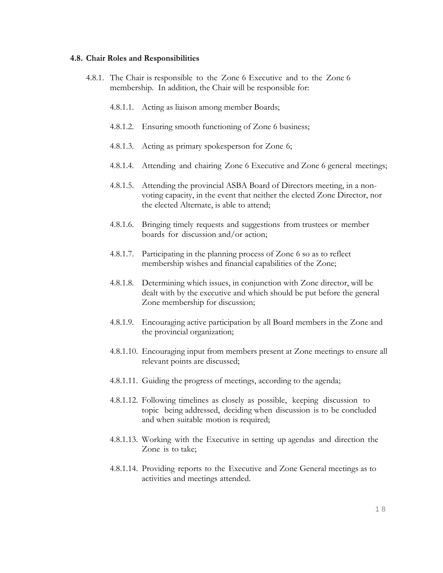#### **4.8. Chair Roles and Responsibilities**

- 4.8.1. The Chair is responsible to the Zone 6 Executive and to the Zone 6 membership. In addition, the Chair will be responsible for:
	- 4.8.1.1. Acting as liaison among member Boards;
	- 4.8.1.2. Ensuring smooth functioning of Zone 6 business;
	- 4.8.1.3. Acting as primary spokesperson for Zone 6;
	- 4.8.1.4. Attending and chairing Zone 6 Executive and Zone 6 general meetings;
	- 4.8.1.5. Attending the provincial ASBA Board of Directors meeting, in a nonvoting capacity, in the event that neither the elected Zone Director, nor the elected Alternate, is able to attend;
	- 4.8.1.6. Bringing timely requests and suggestions from trustees or member boards for discussion and/or action;
	- 4.8.1.7. Participating in the planning process of Zone 6 so as to reflect membership wishes and financial capabilities of the Zone;
	- 4.8.1.8. Determining which issues, in conjunction with Zone director, will be dealt with by the executive and which should be put before the general Zone membership for discussion;
	- 4.8.1.9. Encouraging active participation by all Board members in the Zone and the provincial organization;
	- 4.8.1.10. Encouraging input from members present at Zone meetings to ensure all relevant points are discussed;
	- 4.8.1.11. Guiding the progress of meetings, according to the agenda;
	- 4.8.1.12. Following timelines as closely as possible, keeping discussion to topic being addressed, deciding when discussion is to be concluded and when suitable motion is required;
	- 4.8.1.13. Working with the Executive in setting up agendas and direction the Zone is to take;
	- 4.8.1.14. Providing reports to the Executive and Zone General meetings as to activities and meetings attended.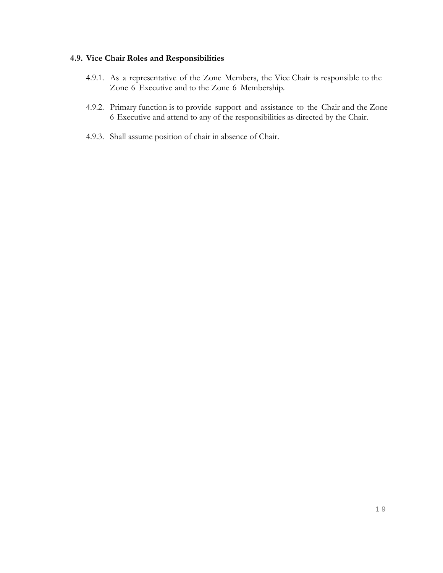#### **4.9. Vice Chair Roles and Responsibilities**

- 4.9.1. As a representative of the Zone Members, the Vice Chair is responsible to the Zone 6 Executive and to the Zone 6 Membership.
- 4.9.2. Primary function is to provide support and assistance to the Chair and the Zone 6 Executive and attend to any of the responsibilities as directed by the Chair.
- 4.9.3. Shall assume position of chair in absence of Chair.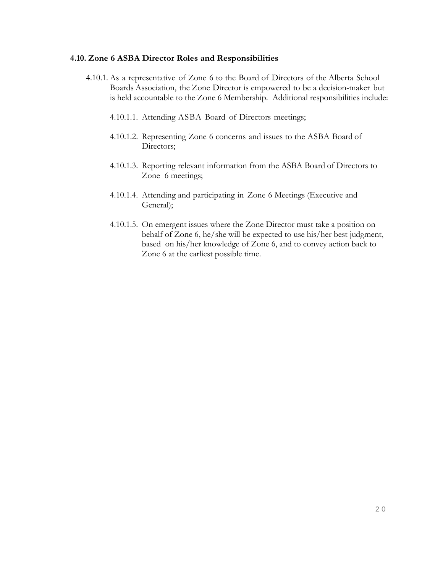#### **4.10. Zone 6 ASBA Director Roles and Responsibilities**

- 4.10.1. As a representative of Zone 6 to the Board of Directors of the Alberta School Boards Association, the Zone Director is empowered to be a decision-maker but is held accountable to the Zone 6 Membership. Additional responsibilities include:
	- 4.10.1.1. Attending ASBA Board of Directors meetings;
	- 4.10.1.2. Representing Zone 6 concerns and issues to the ASBA Board of Directors;
	- 4.10.1.3. Reporting relevant information from the ASBA Board of Directors to Zone 6 meetings;
	- 4.10.1.4. Attending and participating in Zone 6 Meetings (Executive and General);
	- 4.10.1.5. On emergent issues where the Zone Director must take a position on behalf of Zone 6, he/she will be expected to use his/her best judgment, based on his/her knowledge of Zone 6, and to convey action back to Zone 6 at the earliest possible time.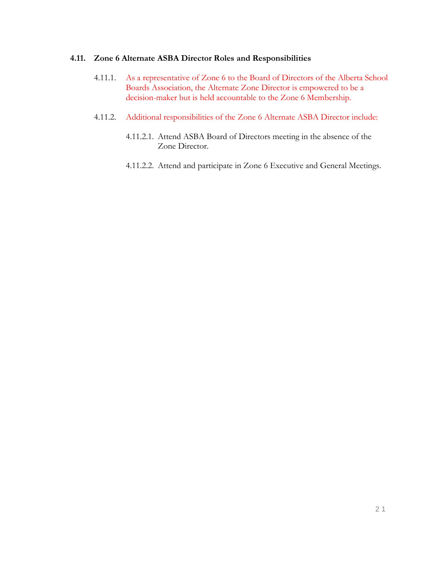#### **4.11. Zone 6 Alternate ASBA Director Roles and Responsibilities**

- 4.11.1. As a representative of Zone 6 to the Board of Directors of the Alberta School Boards Association, the Alternate Zone Director is empowered to be a decision-maker but is held accountable to the Zone 6 Membership.
- 4.11.2. Additional responsibilities of the Zone 6 Alternate ASBA Director include:
	- 4.11.2.1. Attend ASBA Board of Directors meeting in the absence of the Zone Director.
	- 4.11.2.2. Attend and participate in Zone 6 Executive and General Meetings.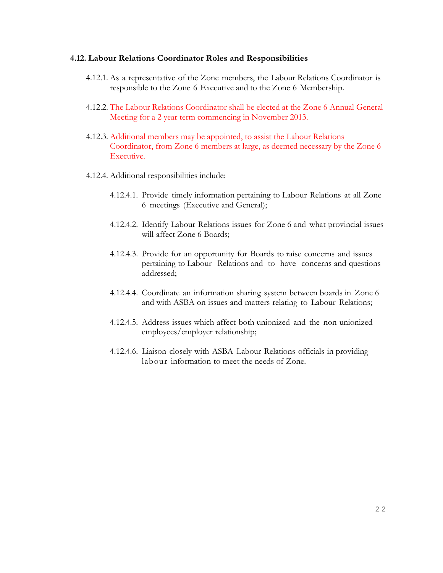#### **4.12. Labour Relations Coordinator Roles and Responsibilities**

- 4.12.1. As a representative of the Zone members, the Labour Relations Coordinator is responsible to the Zone 6 Executive and to the Zone 6 Membership.
- 4.12.2. The Labour Relations Coordinator shall be elected at the Zone 6 Annual General Meeting for a 2 year term commencing in November 2013.
- 4.12.3. Additional members may be appointed, to assist the Labour Relations Coordinator, from Zone 6 members at large, as deemed necessary by the Zone 6 Executive.
- 4.12.4. Additional responsibilities include:
	- 4.12.4.1. Provide timely information pertaining to Labour Relations at all Zone 6 meetings (Executive and General);
	- 4.12.4.2. Identify Labour Relations issues for Zone 6 and what provincial issues will affect Zone 6 Boards;
	- 4.12.4.3. Provide for an opportunity for Boards to raise concerns and issues pertaining to Labour Relations and to have concerns and questions addressed;
	- 4.12.4.4. Coordinate an information sharing system between boards in Zone 6 and with ASBA on issues and matters relating to Labour Relations;
	- 4.12.4.5. Address issues which affect both unionized and the non-unionized employees/employer relationship;
	- 4.12.4.6. Liaison closely with ASBA Labour Relations officials in providing labour information to meet the needs of Zone.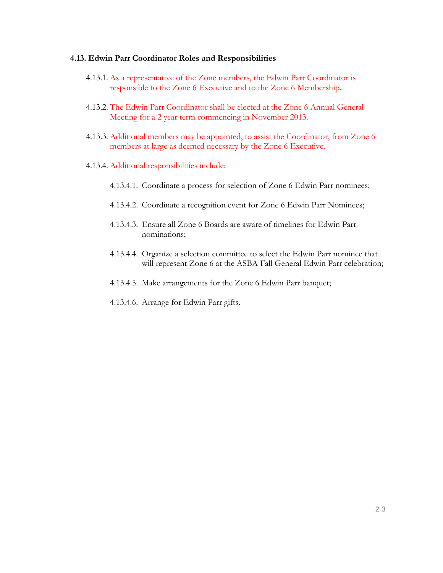#### **4.13. Edwin Parr Coordinator Roles and Responsibilities**

- 4.13.1. As a representative of the Zone members, the Edwin Parr Coordinator is responsible to the Zone 6 Executive and to the Zone 6 Membership.
- 4.13.2. The Edwin Parr Coordinator shall be elected at the Zone 6 Annual General Meeting for a 2 year term commencing in November 2013.
- 4.13.3. Additional members may be appointed, to assist the Coordinator, from Zone 6 members at large as deemed necessary by the Zone 6 Executive.
- 4.13.4. Additional responsibilities include:
	- 4.13.4.1. Coordinate a process for selection of Zone 6 Edwin Parr nominees;
	- 4.13.4.2. Coordinate a recognition event for Zone 6 Edwin Parr Nominees;
	- 4.13.4.3. Ensure all Zone 6 Boards are aware of timelines for Edwin Parr nominations;
	- 4.13.4.4. Organize a selection committee to select the Edwin Parr nominee that will represent Zone 6 at the ASBA Fall General Edwin Parr celebration;
	- 4.13.4.5. Make arrangements for the Zone 6 Edwin Parr banquet;
	- 4.13.4.6. Arrange for Edwin Parr gifts.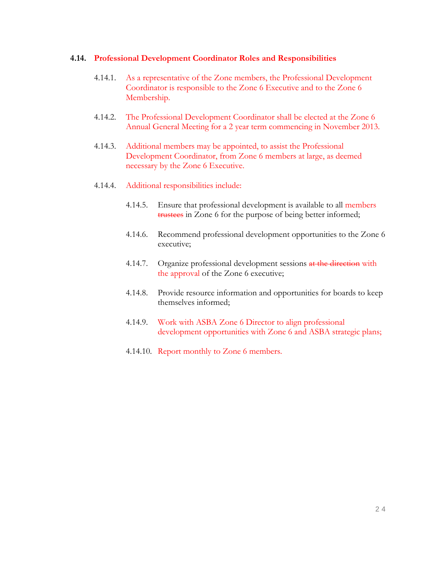#### **4.14. Professional Development Coordinator Roles and Responsibilities**

- 4.14.1. As a representative of the Zone members, the Professional Development Coordinator is responsible to the Zone 6 Executive and to the Zone 6 Membership.
- 4.14.2. The Professional Development Coordinator shall be elected at the Zone 6 Annual General Meeting for a 2 year term commencing in November 2013.
- 4.14.3. Additional members may be appointed, to assist the Professional Development Coordinator, from Zone 6 members at large, as deemed necessary by the Zone 6 Executive.
- 4.14.4. Additional responsibilities include:
	- 4.14.5. Ensure that professional development is available to all members trustees in Zone 6 for the purpose of being better informed;
	- 4.14.6. Recommend professional development opportunities to the Zone 6 executive;
	- 4.14.7. Organize professional development sessions at the direction with the approval of the Zone 6 executive;
	- 4.14.8. Provide resource information and opportunities for boards to keep themselves informed;
	- 4.14.9. Work with ASBA Zone 6 Director to align professional development opportunities with Zone 6 and ASBA strategic plans;
	- 4.14.10. Report monthly to Zone 6 members.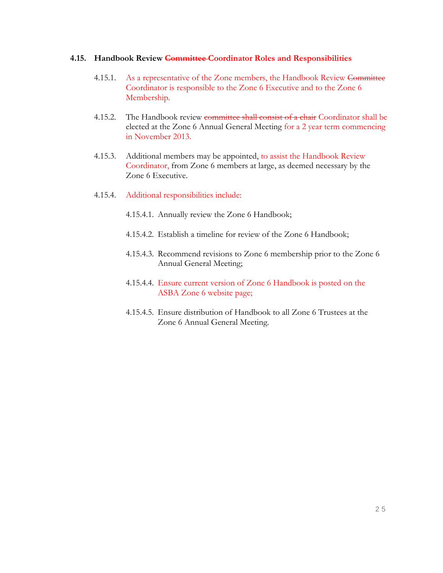#### **4.15. Handbook Review Committee Coordinator Roles and Responsibilities**

- 4.15.1. As a representative of the Zone members, the Handbook Review Committee Coordinator is responsible to the Zone 6 Executive and to the Zone 6 Membership.
- 4.15.2. The Handbook review committee shall consist of a chair Coordinator shall be elected at the Zone 6 Annual General Meeting for a 2 year term commencing in November 2013.
- 4.15.3. Additional members may be appointed, to assist the Handbook Review Coordinator, from Zone 6 members at large, as deemed necessary by the Zone 6 Executive.
- 4.15.4. Additional responsibilities include:
	- 4.15.4.1. Annually review the Zone 6 Handbook;
	- 4.15.4.2. Establish a timeline for review of the Zone 6 Handbook;
	- 4.15.4.3. Recommend revisions to Zone 6 membership prior to the Zone 6 Annual General Meeting;
	- 4.15.4.4. Ensure current version of Zone 6 Handbook is posted on the ASBA Zone 6 website page;
	- 4.15.4.5. Ensure distribution of Handbook to all Zone 6 Trustees at the Zone 6 Annual General Meeting.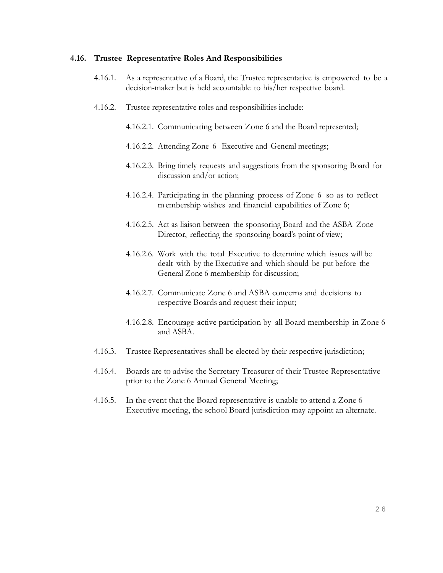#### **4.16. Trustee Representative Roles And Responsibilities**

- 4.16.1. As a representative of a Board, the Trustee representative is empowered to be a decision-maker but is held accountable to his/her respective board.
- 4.16.2. Trustee representative roles and responsibilities include:
	- 4.16.2.1. Communicating between Zone 6 and the Board represented;
	- 4.16.2.2. Attending Zone 6 Executive and General meetings;
	- 4.16.2.3. Bring timely requests and suggestions from the sponsoring Board for discussion and/or action;
	- 4.16.2.4. Participating in the planning process of Zone 6 so as to reflect membership wishes and financial capabilities of Zone 6;
	- 4.16.2.5. Act as liaison between the sponsoring Board and the ASBA Zone Director, reflecting the sponsoring board's point of view;
	- 4.16.2.6. Work with the total Executive to determine which issues will be dealt with by the Executive and which should be put before the General Zone 6 membership for discussion;
	- 4.16.2.7. Communicate Zone 6 and ASBA concerns and decisions to respective Boards and request their input;
	- 4.16.2.8. Encourage active participation by all Board membership in Zone 6 and ASBA.
- 4.16.3. Trustee Representatives shall be elected by their respective jurisdiction;
- 4.16.4. Boards are to advise the Secretary-Treasurer of their Trustee Representative prior to the Zone 6 Annual General Meeting;
- 4.16.5. In the event that the Board representative is unable to attend a Zone 6 Executive meeting, the school Board jurisdiction may appoint an alternate.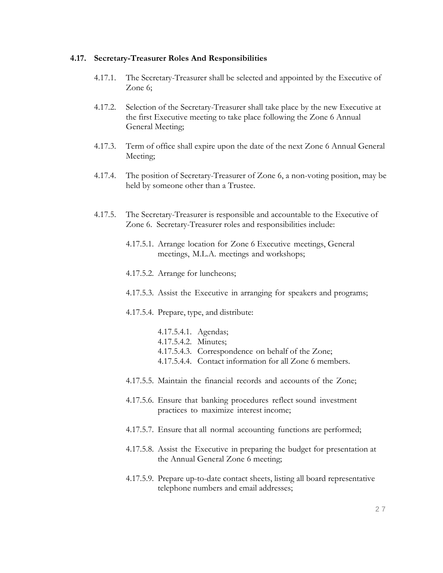#### **4.17. Secretary-Treasurer Roles And Responsibilities**

- 4.17.1. The Secretary-Treasurer shall be selected and appointed by the Executive of Zone 6;
- 4.17.2. Selection of the Secretary-Treasurer shall take place by the new Executive at the first Executive meeting to take place following the Zone 6 Annual General Meeting;
- 4.17.3. Term of office shall expire upon the date of the next Zone 6 Annual General Meeting;
- 4.17.4. The position of Secretary-Treasurer of Zone 6, a non-voting position, may be held by someone other than a Trustee.
- 4.17.5. The Secretary-Treasurer is responsible and accountable to the Executive of Zone 6. Secretary-Treasurer roles and responsibilities include:
	- 4.17.5.1. Arrange location for Zone 6 Executive meetings, General meetings, M.L.A. meetings and workshops;
	- 4.17.5.2. Arrange for luncheons;
	- 4.17.5.3. Assist the Executive in arranging for speakers and programs;
	- 4.17.5.4. Prepare, type, and distribute:
		- 4.17.5.4.1. Agendas; 4.17.5.4.2. Minutes; 4.17.5.4.3. Correspondence on behalf of the Zone; 4.17.5.4.4. Contact information for all Zone 6 members.
	- 4.17.5.5. Maintain the financial records and accounts of the Zone;
	- 4.17.5.6. Ensure that banking procedures reflect sound investment practices to maximize interest income;
	- 4.17.5.7. Ensure that all normal accounting functions are performed;
	- 4.17.5.8. Assist the Executive in preparing the budget for presentation at the Annual General Zone 6 meeting;
	- 4.17.5.9. Prepare up-to-date contact sheets, listing all board representative telephone numbers and email addresses;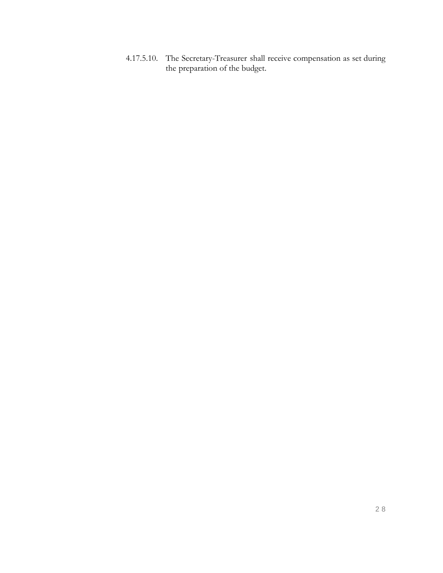4.17.5.10. The Secretary-Treasurer shall receive compensation as set during the preparation of the budget.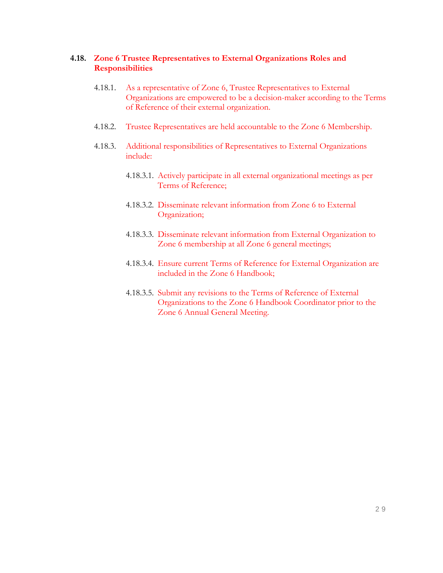#### **4.18. Zone 6 Trustee Representatives to External Organizations Roles and Responsibilities**

- 4.18.1. As a representative of Zone 6, Trustee Representatives to External Organizations are empowered to be a decision-maker according to the Terms of Reference of their external organization.
- 4.18.2. Trustee Representatives are held accountable to the Zone 6 Membership.
- 4.18.3. Additional responsibilities of Representatives to External Organizations include:
	- 4.18.3.1. Actively participate in all external organizational meetings as per Terms of Reference;
	- 4.18.3.2. Disseminate relevant information from Zone 6 to External Organization;
	- 4.18.3.3. Disseminate relevant information from External Organization to Zone 6 membership at all Zone 6 general meetings;
	- 4.18.3.4. Ensure current Terms of Reference for External Organization are included in the Zone 6 Handbook;
	- 4.18.3.5. Submit any revisions to the Terms of Reference of External Organizations to the Zone 6 Handbook Coordinator prior to the Zone 6 Annual General Meeting.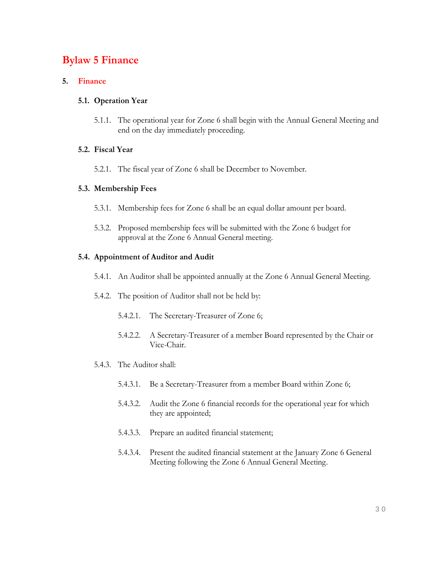## **Bylaw 5 Finance**

#### **5. Finance**

#### **5.1. Operation Year**

5.1.1. The operational year for Zone 6 shall begin with the Annual General Meeting and end on the day immediately proceeding.

#### **5.2. Fiscal Year**

5.2.1. The fiscal year of Zone 6 shall be December to November.

#### **5.3. Membership Fees**

- 5.3.1. Membership fees for Zone 6 shall be an equal dollar amount per board.
- 5.3.2. Proposed membership fees will be submitted with the Zone 6 budget for approval at the Zone 6 Annual General meeting.

#### **5.4. Appointment of Auditor and Audit**

- 5.4.1. An Auditor shall be appointed annually at the Zone 6 Annual General Meeting.
- 5.4.2. The position of Auditor shall not be held by:
	- 5.4.2.1. The Secretary-Treasurer of Zone 6;
	- 5.4.2.2. A Secretary-Treasurer of a member Board represented by the Chair or Vice-Chair.
- 5.4.3. The Auditor shall:
	- 5.4.3.1. Be a Secretary-Treasurer from a member Board within Zone 6;
	- 5.4.3.2. Audit the Zone 6 financial records for the operational year for which they are appointed;
	- 5.4.3.3. Prepare an audited financial statement;
	- 5.4.3.4. Present the audited financial statement at the January Zone 6 General Meeting following the Zone 6 Annual General Meeting.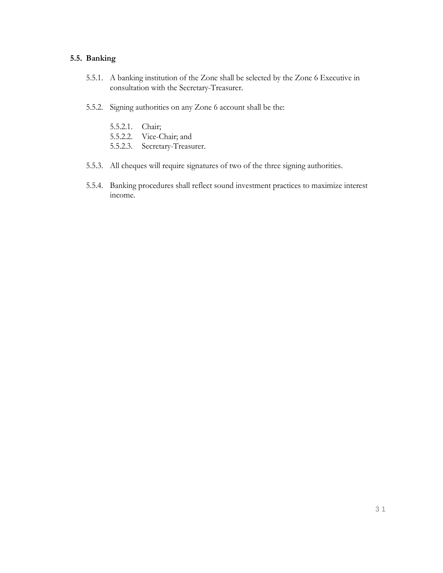#### **5.5. Banking**

- 5.5.1. A banking institution of the Zone shall be selected by the Zone 6 Executive in consultation with the Secretary-Treasurer.
- 5.5.2. Signing authorities on any Zone 6 account shall be the:
	- 5.5.2.1. Chair;
	- 5.5.2.2. Vice-Chair; and
	- 5.5.2.3. Secretary-Treasurer.
- 5.5.3. All cheques will require signatures of two of the three signing authorities.
- 5.5.4. Banking procedures shall reflect sound investment practices to maximize interest income.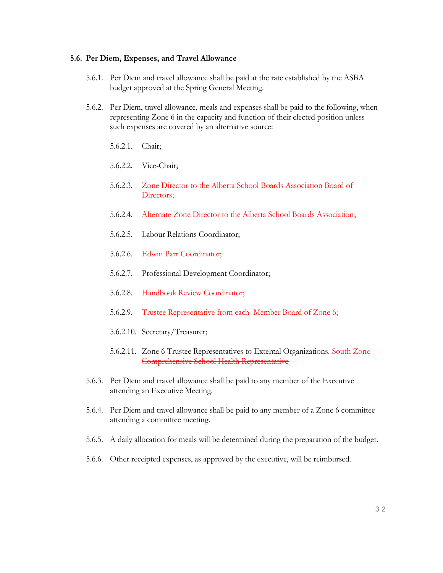#### **5.6. Per Diem, Expenses, and Travel Allowance**

- 5.6.1. Per Diem and travel allowance shall be paid at the rate established by the ASBA budget approved at the Spring General Meeting.
- 5.6.2. Per Diem, travel allowance, meals and expenses shall be paid to the following, when representing Zone 6 in the capacity and function of their elected position unless such expenses are covered by an alternative source:
	- 5.6.2.1. Chair;
	- 5.6.2.2. Vice-Chair;
	- 5.6.2.3. Zone Director to the Alberta School Boards Association Board of Directors;
	- 5.6.2.4. Alternate Zone Director to the Alberta School Boards Association;
	- 5.6.2.5. Labour Relations Coordinator;
	- 5.6.2.6. Edwin Parr Coordinator;
	- 5.6.2.7. Professional Development Coordinator;
	- 5.6.2.8. Handbook Review Coordinator;
	- 5.6.2.9. Trustee Representative from each Member Board of Zone 6;
	- 5.6.2.10. Secretary/Treasurer;
	- 5.6.2.11. Zone 6 Trustee Representatives to External Organizations. South Zone Comprehensive School Health Representative
- 5.6.3. Per Diem and travel allowance shall be paid to any member of the Executive attending an Executive Meeting.
- 5.6.4. Per Diem and travel allowance shall be paid to any member of a Zone 6 committee attending a committee meeting.
- 5.6.5. A daily allocation for meals will be determined during the preparation of the budget.
- 5.6.6. Other receipted expenses, as approved by the executive, will be reimbursed.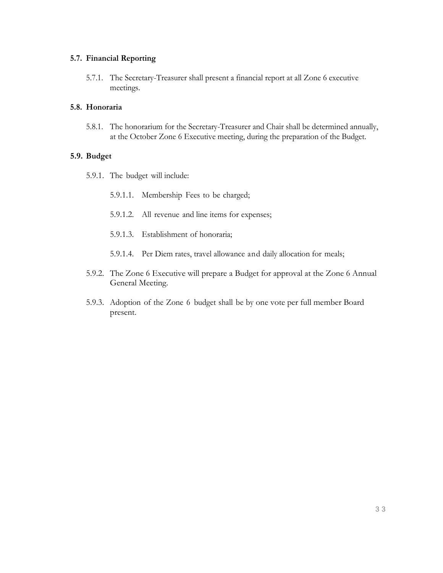#### **5.7. Financial Reporting**

5.7.1. The Secretary-Treasurer shall present a financial report at all Zone 6 executive meetings.

#### **5.8. Honoraria**

5.8.1. The honorarium for the Secretary-Treasurer and Chair shall be determined annually, at the October Zone 6 Executive meeting, during the preparation of the Budget.

#### **5.9. Budget**

- 5.9.1. The budget will include:
	- 5.9.1.1. Membership Fees to be charged;
	- 5.9.1.2. All revenue and line items for expenses;
	- 5.9.1.3. Establishment of honoraria;
	- 5.9.1.4. Per Diem rates, travel allowance and daily allocation for meals;
- 5.9.2. The Zone 6 Executive will prepare a Budget for approval at the Zone 6 Annual General Meeting.
- 5.9.3. Adoption of the Zone 6 budget shall be by one vote per full member Board present.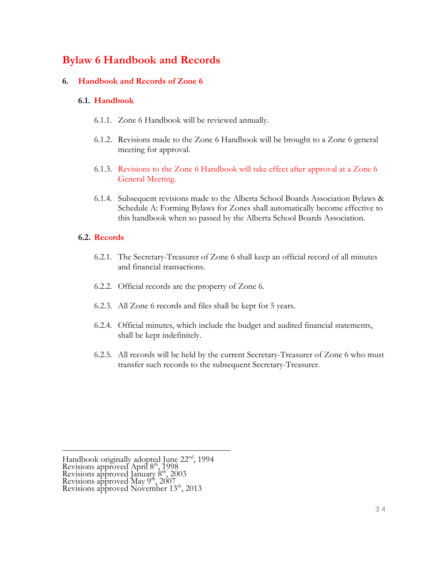## **Bylaw 6 Handbook and Records**

#### **6. Handbook and Records of Zone 6**

#### **6.1. Handbook**

- 6.1.1. Zone 6 Handbook will be reviewed annually.
- 6.1.2. Revisions made to the Zone 6 Handbook will be brought to a Zone 6 general meeting for approval.
- 6.1.3. Revisions to the Zone 6 Handbook will take effect after approval at a Zone 6 General Meeting.
- 6.1.4. Subsequent revisions made to the Alberta School Boards Association Bylaws & Schedule A: Forming Bylaws for Zones shall automatically become effective to this handbook when so passed by the Alberta School Boards Association.

#### **6.2. Records**

- 6.2.1. The Secretary-Treasurer of Zone 6 shall keep an official record of all minutes and financial transactions.
- 6.2.2. Official records are the property of Zone 6.
- 6.2.3. All Zone 6 records and files shall be kept for 5 years.
- 6.2.4. Official minutes, which include the budget and audited financial statements, shall be kept indefinitely.
- 6.2.5. All records will be held by the current Secretary-Treasurer of Zone 6 who must transfer such records to the subsequent Secretary-Treasurer.

Handbook originally adopted June 22<sup>nd</sup>, 1994 Revisions approved April 8<sup>th</sup>, 1998 Revisions approved January 8th, 2003 Revisions approved May  $9<sup>th</sup>$ , 2007 Revisions approved November 13<sup>th</sup>, 2013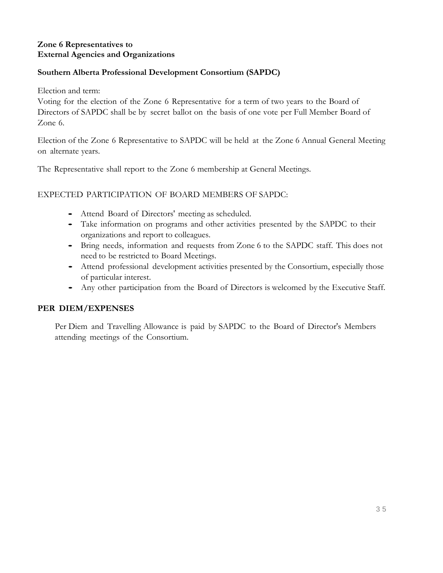## **Zone 6 Representatives to External Agencies and Organizations**

## **Southern Alberta Professional Development Consortium (SAPDC)**

Election and term:

Voting for the election of the Zone 6 Representative for a term of two years to the Board of Directors of SAPDC shall be by secret ballot on the basis of one vote per Full Member Board of Zone 6.

Election of the Zone 6 Representative to SAPDC will be held at the Zone 6 Annual General Meeting on alternate years.

The Representative shall report to the Zone 6 membership at General Meetings.

EXPECTED PARTICIPATION OF BOARD MEMBERS OF SAPDC:

- Attend Board of Directors' meeting as scheduled.
- Take information on programs and other activities presented by the SAPDC to their organizations and report to colleagues.
- Bring needs, information and requests from Zone 6 to the SAPDC staff. This does not need to be restricted to Board Meetings.
- Attend professional development activities presented by the Consortium, especially those of particular interest.
- Any other participation from the Board of Directors is welcomed by the Executive Staff.

## **PER DIEM/EXPENSES**

Per Diem and Travelling Allowance is paid by SAPDC to the Board of Director's Members attending meetings of the Consortium.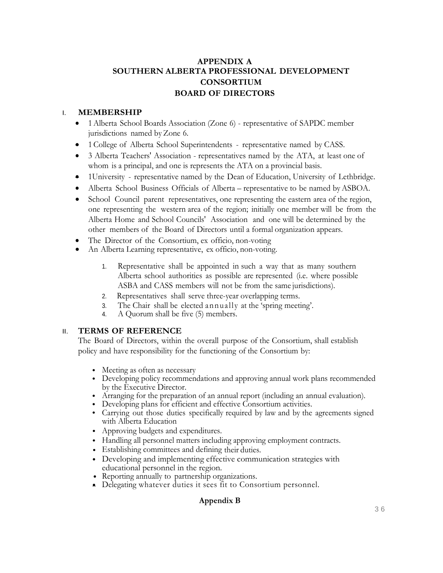## **APPENDIX A SOUTHERN ALBERTA PROFESSIONAL DEVELOPMENT CONSORTIUM BOARD OF DIRECTORS**

#### I. **MEMBERSHIP**

- 1Alberta School Boards Association (Zone 6) representative of SAPDC member jurisdictions named byZone 6.
- 1 College of Alberta School Superintendents representative named by CASS.
- 3 Alberta Teachers' Association representatives named by the ATA, at least one of whom is a principal, and one is represents the ATA on a provincial basis.
- 1University representative named by the Dean of Education, University of Lethbridge.
- Alberta School Business Officials of Alberta representative to be named by ASBOA.
- School Council parent representatives, one representing the eastern area of the region, one representing the western area of the region; initially one member will be from the Alberta Home and School Councils' Association and one will be determined by the other members of the Board of Directors until a formal organization appears.
- The Director of the Consortium, ex officio, non-voting
- An Alberta Learning representative, ex officio, non-voting.
	- 1. Representative shall be appointed in such a way that as many southern Alberta school authorities as possible are represented (i.e. where possible ASBA and CASS members will not be from the same jurisdictions).
	- 2. Representatives shall serve three-year overlapping terms.
	- 3. The Chair shall be elected annually at the 'spring meeting'.
	- 4. A Quorum shall be five (5) members.

#### II. **TERMS OF REFERENCE**

The Board of Directors, within the overall purpose of the Consortium, shall establish policy and have responsibility for the functioning of the Consortium by:

- Meeting as often as necessary
- Developing policy recommendations and approving annual work plans recommended by the Executive Director.
- Arranging for the preparation of an annual report (including an annual evaluation).
- Developing plans for efficient and effective Consortium activities.
- Carrying out those duties specifically required by law and by the agreements signed with Alberta Education
- Approving budgets and expenditures.
- Handling all personnel matters including approving employment contracts.
- Establishing committees and defining their duties.
- Developing and implementing effective communication strategies with educational personnel in the region.
- Reporting annually to partnership organizations.
- Delegating whatever duties it sees fit to Consortium personnel.

## **Appendix B**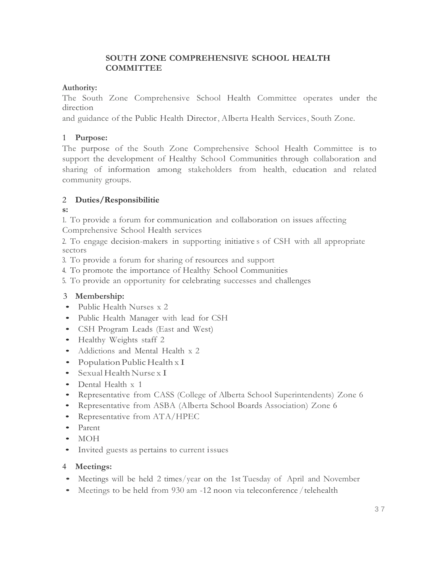## **SOUTH ZONE COMPREHENSIVE SCHOOL HEALTH COMMITTEE**

### **Authority:**

The South Zone Comprehensive School Health Committee operates under the direction

and guidance of the Public Health Director, Alberta Health Services, South Zone.

### 1 **Purpose:**

The purpose of the South Zone Comprehensive School Health Committee is to support the development of Healthy School Communities through collaboration and sharing of information among stakeholders from health, education and related community groups.

## 2 **Duties/Responsibilitie**

#### **s:**

1. To provide a forum for communication and collaboration on issues affecting Comprehensive School Health services

2. To engage decision-makers in supporting initiative s of CSH with all appropriate sectors

3. To provide a forum for sharing of resources and support

4. To promote the importance of Healthy School Communities

5. To provide an opportunity for celebrating successes and challenges

## 3 **Membership:**

- Public Health Nurses x 2
- Public Health Manager with lead for CSH
- CSH Program Leads (East and West)
- Healthy Weights staff 2
- Addictions and Mental Health x 2
- Population Public Health  $x I$
- Sexual Health Nurse x I
- Dental Health x 1
- Representative from CASS (College of Alberta School Superintendents) Zone 6
- Representative from ASBA (Alberta School Boards Association) Zone 6
- Representative from ATA/HPEC
- Parent
- MOH
- Invited guests as pertains to current issues

## 4 **Meetings:**

- Meetings will be held 2 times/year on the 1st Tuesday of April and November
- Meetings to be held from 930 am -12 noon via teleconference / telehealth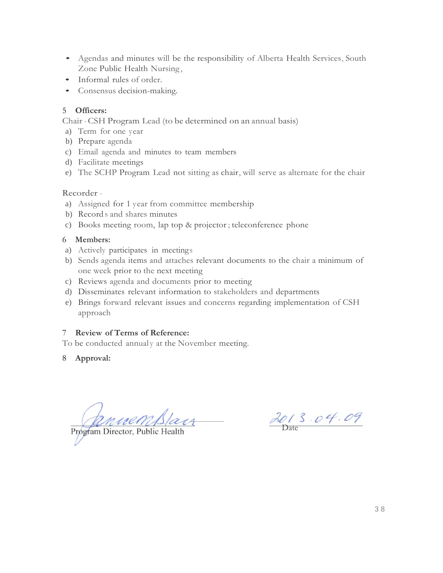- Agendas and minutes will be the responsibility of Alberta Health Services, South Zone Public Health Nursing ,
- Informal rules of order.
- Consensus decision-making.

#### 5 **Officers:**

Chair-CSH Program Lead (to be determined on an annual basis)

- a) Term for one year
- b) Prepare agenda
- c) Email agenda and minutes to team members
- d) Facilitate meetings
- e) The SCHP Program Lead not sitting as chair, will serve as alternate for the chair

#### Recorder -

- a) Assigned for 1 year from committee membership
- b) Record s and shares minutes
- c) Books meeting room, lap top & projector ; teleconference phone

#### 6 **Members:**

- a) Actively participates in meetings
- b) Sends agenda items and attaches relevant documents to the chair a minimum of one week prior to the next meeting
- c) Reviews agenda and documents prior to meeting
- d) Disseminates relevant information to stakeholders and departments
- e) Brings forward relevant issues and concerns regarding implementation of CSH approach

#### 7 **Review of Terms of Reference:**

To be conducted annualy at the November meeting.

8 **Approval:**

Program Director, Public Health

2013.04.09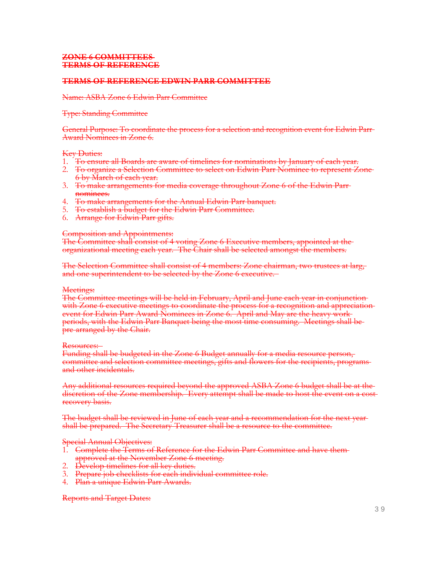#### **ZONE 6 COMMITTEES TERMS OF REFERENCE**

#### **TERMS OF REFERENCE EDWIN PARR COMMITTEE**

#### Name: ASBA Zone 6 Edwin Parr Committee

#### Type: Standing Committee

General Purpose: To coordinate the process for a selection and recognition event for Edwin Parr Award Nominees in Zone 6.

#### Key Duties:

- 1. To ensure all Boards are aware of timelines for nominations by January of each year.
- 2. To organize a Selection Committee to select on Edwin Parr Nominee to represent Zone 6 by March of each year.
- 3. To make arrangements for media coverage throughout Zone 6 of the Edwin Parr nominees.
- 4. To make arrangements for the Annual Edwin Parr banquet.
- 5. To establish a budget for the Edwin Parr Committee.
- 6. Arrange for Edwin Parr gifts.

#### Composition and Appointments:

The Committee shall consist of 4 voting Zone 6 Executive members, appointed at the organizational meeting each year. The Chair shall be selected amongst the members.

The Selection Committee shall consist of 4 members: Zone chairman, two trustees at larg, and one superintendent to be selected by the Zone 6 executive.

#### Meetings:

The Committee meetings will be held in February, April and June each year in conjunction with Zone 6 executive meetings to coordinate the process for a recognition and appreciationevent for Edwin Parr Award Nominees in Zone 6. April and May are the heavy work periods, with the Edwin Parr Banquet being the most time consuming. Meetings shall be pre-arranged by the Chair.

#### Resources:

Funding shall be budgeted in the Zone 6 Budget annually for a media resource person, committee and selection committee meetings, gifts and flowers for the recipients, programs and other incidentals.

Any additional resources required beyond the approved ASBA Zone 6 budget shall be at the discretion of the Zone membership. Every attempt shall be made to host the event on a costrecovery basis.

The budget shall be reviewed in June of each year and a recommendation for the next yearshall be prepared. The Secretary-Treasurer shall be a resource to the committee.

Special Annual Objectives:

- 1. Complete the Terms of Reference for the Edwin Parr Committee and have themapproved at the November Zone 6 meeting.
- 2. <del>Develop timelines for all key duties.</del>
- 3. Prepare job checklists for each individual committee role.
- 4. Plan a unique Edwin Parr Awards.

Reports and Target Dates: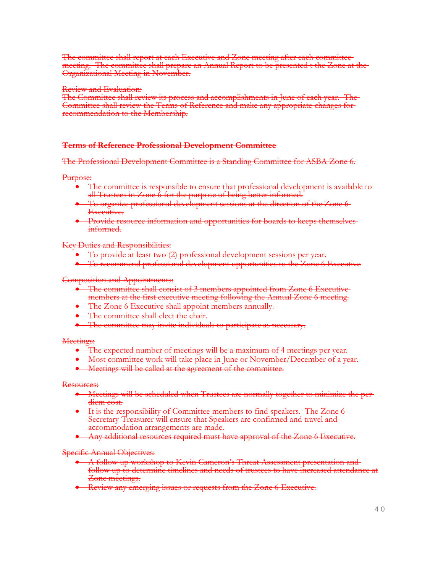The committee shall report at each Executive and Zone meeting after each committee meeting. The committee shall prepare an Annual Report to be presented t the Zone at the Organizational Meeting in November.

#### Review and Evaluation:

The Committee shall review its process and accomplishments in June of each year. The Committee shall review the Terms of Reference and make any appropriate changes for recommendation to the Membership.

#### **Terms of Reference Professional Development Committee**

The Professional Development Committee is a Standing Committee for ASBA Zone 6.

Purpose:

- The committee is responsible to ensure that professional development is available to all Trustees in Zone 6 for the purpose of being better informed.
- To organize professional development sessions at the direction of the Zone 6 Executive.
- Provide resource information and opportunities for boards to keeps themselves informed.

Key Duties and Responsibilities:

- To provide at least two (2) professional development sessions per year.
- To recommend professional development opportunities to the Zone 6 Executive

Composition and Appointments:

- The committee shall consist of 3 members appointed from Zone 6 Executive members at the first executive meeting following the Annual Zone 6 meeting.
- The Zone 6 Executive shall appoint members annually.
- The committee shall elect the chair.
- **•** The committee may invite individuals to participate as necessary.

Meetings:

- The expected number of meetings will be a maximum of 4 meetings per year.
- $\bullet$  Most committee work will take place in June or November/December of a year.
- **•** Meetings will be called at the agreement of the committee.

Resources:

- **Meetings will be scheduled when Trustees are normally together to minimize the per**diem cost.
- It is the responsibility of Committee members to find speakers. The Zone 6 Secretary-Treasurer will ensure that Speakers are confirmed and travel and accommodation arrangements are made.
- **Any additional resources required must have approval of the Zone 6 Executive.**

Specific Annual Objectives:

- A follow up workshop to Kevin Cameron's Threat Assessment presentation and follow up to determine timelines and needs of trustees to have increased attendance at Zone meetings.
- Review any emerging issues or requests from the Zone 6 Executive.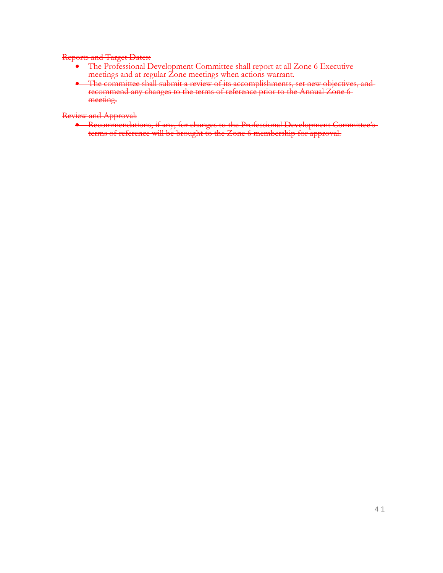#### Reports and Target Dates:

- The Professional Development Committee shall report at all Zone 6 Executive meetings and at regular Zone meetings when actions warrant.
- The committee shall submit a review of its accomplishments, set new objectives, and recommend any changes to the terms of reference prior to the Annual Zone 6 meeting.

Review and Approval:

**•** Recommendations, if any, for changes to the Professional Development Committee's terms of reference will be brought to the Zone 6 membership for approval.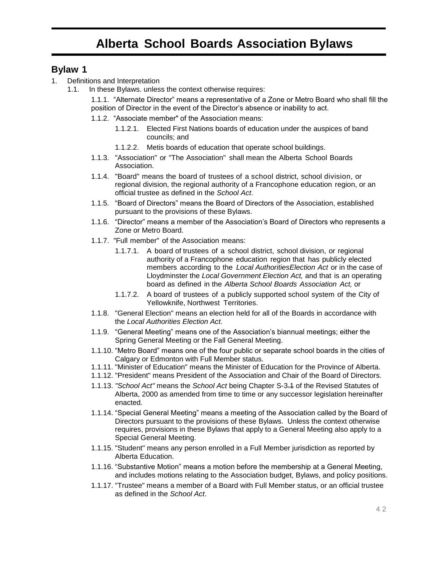## **Bylaw 1**

- 1. Definitions and Interpretation
	- 1.1. In these Bylaws. unless the context otherwise requires:

1.1.1. "Alternate Director" means a representative of a Zone or Metro Board who shall fill the position of Director in the event of the Director's absence or inability to act.

- 1.1.2. "Associate member" of the Association means:
	- 1.1.2.1. Elected First Nations boards of education under the auspices of band councils; and
	- 1.1.2.2. Metis boards of education that operate school buildings.
- 1.1.3. "Association" or "The Association" shall mean the Alberta School Boards Association.
- 1.1.4. "Board" means the board of trustees of a school district, school division, or regional division, the regional authority of a Francophone education region, or an official trustee as defined in the *School Act*.
- 1.1.5. "Board of Directors" means the Board of Directors of the Association, established pursuant to the provisions of these Bylaws.
- 1.1.6. "Director" means a member of the Association's Board of Directors who represents a Zone or Metro Board.
- 1.1.7. "Full member" of the Association means:
	- 1.1.7.1. A board of trustees of a school district, school division, or regional authority of a Francophone education region that has publicly elected members according to the *Local AuthoritiesElection Act* or in the case of Lloydminster the *Local Government Election Act,* and that is an operating board as defined in the *Alberta School Boards Association Act,* or
	- 1.1.7.2. A board of trustees of a publicly supported school system of the City of Yellowknife, Northwest Territories.
- 1.1.8. "General Election" means an election held for all of the Boards in accordance with the *Local Authorities Election Act.*
- 1.1.9. "General Meeting" means one of the Association's biannual meetings; either the Spring General Meeting or the Fall General Meeting.
- 1.1.10. "Metro Board" means one of the four public or separate school boards in the cities of Calgary or Edmonton with Full Member status.
- 1.1.11. "Minister of Education" means the Minister of Education for the Province of Alberta.
- 1.1.12. "President" means President of the Association and Chair of the Board of Directors.
- 1.1.13. *"School Act"* means the *School Act* being Chapter S-3.1 of the Revised Statutes of Alberta, 2000 as amended from time to time or any successor legislation hereinafter enacted.
- 1.1.14. "Special General Meeting" means a meeting of the Association called by the Board of Directors pursuant to the provisions of these Bylaws. Unless the context otherwise requires, provisions in these Bylaws that apply to a General Meeting also apply to a Special General Meeting.
- 1.1.15. "Student" means any person enrolled in a Full Member jurisdiction as reported by Alberta Education.
- 1.1.16. "Substantive Motion" means a motion before the membership at a General Meeting, and includes motions relating to the Association budget, Bylaws, and policy positions.
- 1.1.17. "Trustee" means a member of a Board with Full Member status, or an official trustee as defined in the *School Act*.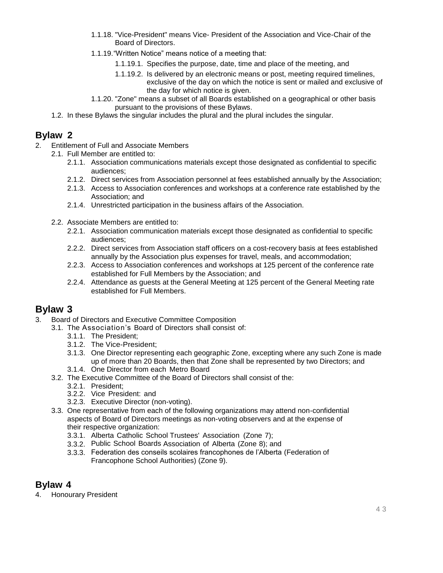- 1.1.18. "Vice-President" means Vice- President of the Association and Vice-Chair of the Board of Directors.
- 1.1.19."Written Notice" means notice of a meeting that:
	- 1.1.19.1. Specifies the purpose, date, time and place of the meeting, and
	- 1.1.19.2. Is delivered by an electronic means or post, meeting required timelines, exclusive of the day on which the notice is sent or mailed and exclusive of the day for which notice is given.
- 1.1.20. "Zone" means a subset of all Boards established on a geographical or other basis pursuant to the provisions of these Bylaws.
- 1.2. In these Bylaws the singular includes the plural and the plural includes the singular.

## **Bylaw 2**

- 2. Entitlement of Full and Associate Members
	- 2.1. Full Member are entitled to:
		- 2.1.1. Association communications materials except those designated as confidential to specific audiences;
		- 2.1.2. Direct services from Association personnel at fees established annually by the Association;
		- 2.1.3. Access to Association conferences and workshops at a conference rate established by the Association; and
		- 2.1.4. Unrestricted participation in the business affairs of the Association.
		- 2.2. Associate Members are entitled to:
			- 2.2.1. Association communication materials except those designated as confidential to specific audiences;
			- 2.2.2. Direct services from Association staff officers on a cost-recovery basis at fees established annually by the Association plus expenses for travel, meals, and accommodation;
			- 2.2.3. Access to Association conferences and workshops at 125 percent of the conference rate established for Full Members by the Association; and
			- 2.2.4. Attendance as guests at the General Meeting at 125 percent of the General Meeting rate established for Full Members.

## **Bylaw 3**

- 3. Board of Directors and Executive Committee Composition
	- 3.1. The Association's Board of Directors shall consist of:
		- 3.1.1. The President;
		- 3.1.2. The Vice-President;
		- 3.1.3. One Director representing each geographic Zone, excepting where any such Zone is made up of more than 20 Boards, then that Zone shall be represented by two Directors; and
		- 3.1.4. One Director from each Metro Board
		- 3.2. The Executive Committee of the Board of Directors shall consist of the:
			- 3.2.1. President;
			- 3.2.2. Vice President: and
			- 3.2.3. Executive Director (non-voting).
		- 3.3. One representative from each of the following organizations may attend non-confidential aspects of Board of Directors meetings as non-voting observers and at the expense of their respective organization:
			- 3.3.1. Alberta Catholic School Trustees' Association (Zone 7);
			- 3.3.2. Public School Boards Association of Alberta (Zone 8); and
			- 3.3.3. Federation des conseils scolaires francophones de l'Alberta (Federation of Francophone School Authorities) (Zone 9).

## **Bylaw 4**

4. Honourary President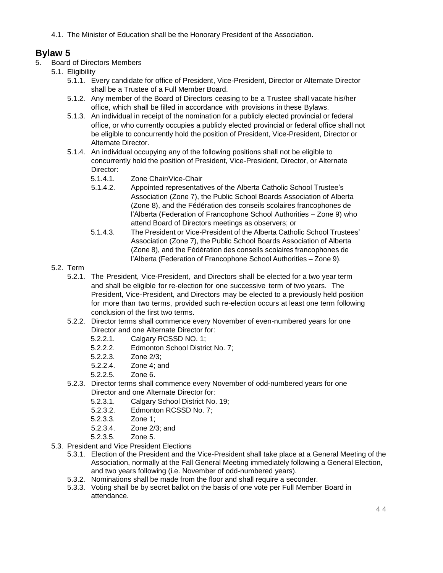4.1. The Minister of Education shall be the Honorary President of the Association.

- 5. Board of Directors Members
	- 5.1. Eligibility
		- 5.1.1. Every candidate for office of President, Vice-President, Director or Alternate Director shall be a Trustee of a Full Member Board.
		- 5.1.2. Any member of the Board of Directors ceasing to be a Trustee shall vacate his/her office, which shall be filled in accordance with provisions in these Bylaws.
		- 5.1.3. An individual in receipt of the nomination for a publicly elected provincial or federal office, or who currently occupies a publicly elected provincial or federal office shall not be eligible to concurrently hold the position of President, Vice-President, Director or Alternate Director.
		- 5.1.4. An individual occupying any of the following positions shall not be eligible to concurrently hold the position of President, Vice-President, Director, or Alternate Director:
			- 5.1.4.1. Zone Chair/Vice-Chair
			- 5.1.4.2. Appointed representatives of the Alberta Catholic School Trustee's Association (Zone 7), the Public School Boards Association of Alberta (Zone 8), and the Fédération des conseils scolaires francophones de l'Alberta (Federation of Francophone School Authorities – Zone 9) who attend Board of Directors meetings as observers; or
			- 5.1.4.3. The President or Vice-President of the Alberta Catholic School Trustees' Association (Zone 7), the Public School Boards Association of Alberta (Zone 8), and the Fédération des conseils scolaires francophones de l'Alberta (Federation of Francophone School Authorities – Zone 9).
	- 5.2. Term
		- 5.2.1. The President, Vice-President, and Directors shall be elected for a two year term and shall be eligible for re-election for one successive term of two years. The President, Vice-President, and Directors may be elected to a previously held position for more than two terms, provided such re-election occurs at least one term following conclusion of the first two terms.
		- 5.2.2. Director terms shall commence every November of even-numbered years for one Director and one Alternate Director for:
			- 5.2.2.1. Calgary RCSSD NO. 1;
			- 5.2.2.2. Edmonton School District No. 7;
			- 5.2.2.3. Zone 2/3;
			- 5.2.2.4. Zone 4; and
			- 5.2.2.5. Zone 6.
		- 5.2.3. Director terms shall commence every November of odd-numbered years for one Director and one Alternate Director for:
			- 5.2.3.1. Calgary School District No. 19;
			- 5.2.3.2. Edmonton RCSSD No. 7;
			- 5.2.3.3. Zone 1;
			- 5.2.3.4. Zone 2/3; and
			- 5.2.3.5. Zone 5.
	- 5.3. President and Vice President Elections
		- 5.3.1. Election of the President and the Vice-President shall take place at a General Meeting of the Association, normally at the Fall General Meeting immediately following a General Election, and two years following (i.e. November of odd-numbered years).
		- 5.3.2. Nominations shall be made from the floor and shall require a seconder.
		- 5.3.3. Voting shall be by secret ballot on the basis of one vote per Full Member Board in attendance.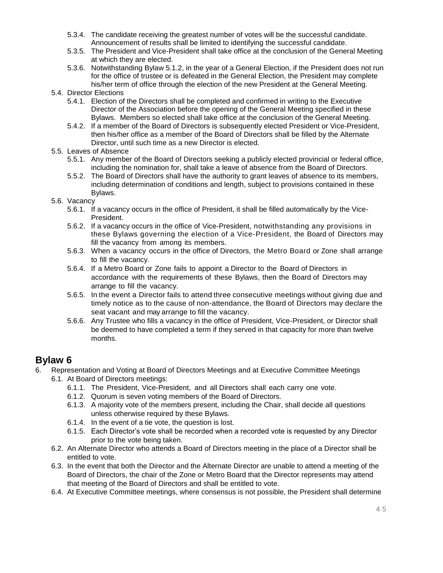- 5.3.4. The candidate receiving the greatest number of votes will be the successful candidate. Announcement of results shall be limited to identifying the successful candidate.
- 5.3.5. The President and Vice-President shall take office at the conclusion of the General Meeting at which they are elected.
- 5.3.6. Notwithstanding Bylaw 5.1.2, in the year of a General Election, if the President does not run for the office of trustee or is defeated in the General Election, the President may complete his/her term of office through the election of the new President at the General Meeting.
- 5.4. Director Elections
	- 5.4.1. Election of the Directors shall be completed and confirmed in writing to the Executive Director of the Association before the opening of the General Meeting specified in these Bylaws. Members so elected shall take office at the conclusion of the General Meeting.
	- 5.4.2. If a member of the Board of Directors is subsequently elected President or Vice-President, then his/her office as a member of the Board of Directors shall be filled by the Alternate Director, until such time as a new Director is elected.
- 5.5. Leaves of Absence
	- 5.5.1. Any member of the Board of Directors seeking a publicly elected provincial or federal office, including the nomination for, shall take a leave of absence from the Board of Directors.
	- 5.5.2. The Board of Directors shall have the authority to grant leaves of absence to its members, including determination of conditions and length, subject to provisions contained in these Bylaws.
- 5.6. Vacancy
	- 5.6.1. If a vacancy occurs in the office of President, it shall be filled automatically by the Vice-President.
	- 5.6.2. If a vacancy occurs in the office of Vice-President, notwithstanding any provisions in these Bylaws governing the election of a Vice-President, the Board of Directors may fill the vacancy from among its members.
	- 5.6.3. When a vacancy occurs in the office of Directors, the Metro Board or Zone shall arrange to fill the vacancy.
	- 5.6.4. If a Metro Board or Zone fails to appoint a Director to the Board of Directors in accordance with the requirements of these Bylaws, then the Board of Directors may arrange to fill the vacancy.
	- 5.6.5. In the event a Director fails to attend three consecutive meetings without giving due and timely notice as to the cause of non-attendance, the Board of Directors may declare the seat vacant and may arrange to fill the vacancy.
	- 5.6.6. Any Trustee who fills a vacancy in the office of President, Vice-President, or Director shall be deemed to have completed a term if they served in that capacity for more than twelve months.

- 6. Representation and Voting at Board of Directors Meetings and at Executive Committee Meetings
	- 6.1. At Board of Directors meetings:
		- 6.1.1. The President, Vice-President, and all Directors shall each carry one vote.
		- 6.1.2. Quorum is seven voting members of the Board of Directors.
		- 6.1.3. A majority vote of the members present, including the Chair, shall decide all questions unless otherwise required by these Bylaws.
		- 6.1.4. In the event of a tie vote, the question is lost.
		- 6.1.5. Each Director's vote shall be recorded when a recorded vote is requested by any Director prior to the vote being taken.
		- 6.2. An Alternate Director who attends a Board of Directors meeting in the place of a Director shall be entitled to vote.
		- 6.3. In the event that both the Director and the Alternate Director are unable to attend a meeting of the Board of Directors, the chair of the Zone or Metro Board that the Director represents may attend that meeting of the Board of Directors and shall be entitled to vote.
		- 6.4. At Executive Committee meetings, where consensus is not possible, the President shall determine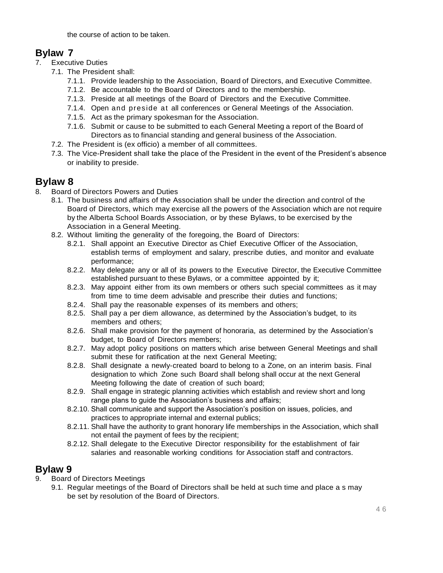the course of action to be taken.

## **Bylaw 7**

- 7. Executive Duties
	- 7.1. The President shall:
		- 7.1.1. Provide leadership to the Association, Board of Directors, and Executive Committee.
		- 7.1.2. Be accountable to the Board of Directors and to the membership.
		- 7.1.3. Preside at all meetings of the Board of Directors and the Executive Committee.
		- 7.1.4. Open and preside at all conferences or General Meetings of the Association.
		- 7.1.5. Act as the primary spokesman for the Association.
		- 7.1.6. Submit or cause to be submitted to each General Meeting a report of the Board of Directors as to financial standing and general business of the Association.
	- 7.2. The President is (ex officio) a member of all committees.
	- 7.3. The Vice-President shall take the place of the President in the event of the President's absence or inability to preside.

## **Bylaw 8**

- 8. Board of Directors Powers and Duties
	- 8.1. The business and affairs of the Association shall be under the direction and control of the Board of Directors, which may exercise all the powers of the Association which are not require by the Alberta School Boards Association*,* or by these Bylaws, to be exercised by the Association in a General Meeting.
	- 8.2. Without limiting the generality of the foregoing, the Board of Directors:
		- 8.2.1. Shall appoint an Executive Director as Chief Executive Officer of the Association, establish terms of employment and salary, prescribe duties, and monitor and evaluate performance;
		- 8.2.2. May delegate any or all of its powers to the Executive Director, the Executive Committee established pursuant to these Bylaws, or a committee appointed by it;
		- 8.2.3. May appoint either from its own members or others such special committees as it may from time to time deem advisable and prescribe their duties and functions;
		- 8.2.4. Shall pay the reasonable expenses of its members and others;
		- 8.2.5. Shall pay a per diem allowance, as determined by the Association's budget, to its members and others;
		- 8.2.6. Shall make provision for the payment of honoraria, as determined by the Association's budget, to Board of Directors members;
		- 8.2.7. May adopt policy positions on matters which arise between General Meetings and shall submit these for ratification at the next General Meeting;
		- 8.2.8. Shall designate a newly-created board to belong to a Zone, on an interim basis. Final designation to which Zone such Board shall belong shall occur at the next General Meeting following the date of creation of such board;
		- 8.2.9. Shall engage in strategic planning activities which establish and review short and long range plans to guide the Association's business and affairs;
		- 8.2.10. Shall communicate and support the Association's position on issues, policies, and practices to appropriate internal and external publics;
		- 8.2.11. Shall have the authority to grant honorary life memberships in the Association, which shall not entail the payment of fees by the recipient;
		- 8.2.12. Shall delegate to the Executive Director responsibility for the establishment of fair salaries and reasonable working conditions for Association staff and contractors.

- 9. Board of Directors Meetings
	- 9.1. Regular meetings of the Board of Directors shall be held at such time and place a s may be set by resolution of the Board of Directors.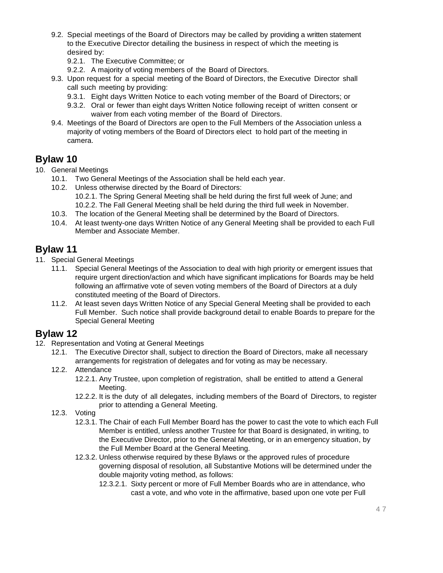- 9.2. Special meetings of the Board of Directors may be called by providing a written statement to the Executive Director detailing the business in respect of which the meeting is desired by:
	- 9.2.1. The Executive Committee; or
	- 9.2.2. A majority of voting members of the Board of Directors.
- 9.3. Upon request for a special meeting of the Board of Directors, the Executive Director shall call such meeting by providing:
	- 9.3.1. Eight days Written Notice to each voting member of the Board of Directors; or
	- 9.3.2. Oral or fewer than eight days Written Notice following receipt of written consent or waiver from each voting member of the Board of Directors.
- 9.4. Meetings of the Board of Directors are open to the Full Members of the Association unless a majority of voting members of the Board of Directors elect to hold part of the meeting in camera.

## **Bylaw 10**

- 10. General Meetings
	- 10.1. Two General Meetings of the Association shall be held each year.
	- 10.2. Unless otherwise directed by the Board of Directors: 10.2.1. The Spring General Meeting shall be held during the first full week of June; and 10.2.2. The Fall General Meeting shall be held during the third full week in November.
	- 10.3. The location of the General Meeting shall be determined by the Board of Directors.
	- 10.4. At least twenty-one days Written Notice of any General Meeting shall be provided to each Full Member and Associate Member.

## **Bylaw 11**

- 11. Special General Meetings
	- 11.1. Special General Meetings of the Association to deal with high priority or emergent issues that require urgent direction/action and which have significant implications for Boards may be held following an affirmative vote of seven voting members of the Board of Directors at a duly constituted meeting of the Board of Directors.
	- 11.2. At least seven days Written Notice of any Special General Meeting shall be provided to each Full Member. Such notice shall provide background detail to enable Boards to prepare for the Special General Meeting

- 12. Representation and Voting at General Meetings
	- 12.1. The Executive Director shall, subject to direction the Board of Directors, make all necessary arrangements for registration of delegates and for voting as may be necessary.
	- 12.2. Attendance
		- 12.2.1. Any Trustee, upon completion of registration, shall be entitled to attend a General Meeting.
		- 12.2.2. It is the duty of all delegates, including members of the Board of Directors, to register prior to attending a General Meeting.
	- 12.3. Voting
		- 12.3.1. The Chair of each Full Member Board has the power to cast the vote to which each Full Member is entitled, unless another Trustee for that Board is designated, in writing, to the Executive Director, prior to the General Meeting, or in an emergency situation, by the Full Member Board at the General Meeting.
		- 12.3.2. Unless otherwise required by these Bylaws or the approved rules of procedure governing disposal of resolution, all Substantive Motions will be determined under the double majority voting method, as follows:
			- 12.3.2.1. Sixty percent or more of Full Member Boards who are in attendance, who cast a vote, and who vote in the affirmative, based upon one vote per Full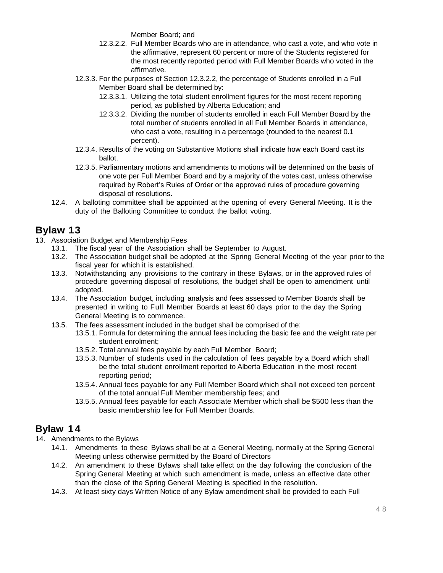Member Board; and

- 12.3.2.2. Full Member Boards who are in attendance, who cast a vote, and who vote in the affirmative, represent 60 percent or more of the Students registered for the most recently reported period with Full Member Boards who voted in the affirmative.
- 12.3.3. For the purposes of Section 12.3.2.2, the percentage of Students enrolled in a Full Member Board shall be determined by:
	- 12.3.3.1. Utilizing the total student enrollment figures for the most recent reporting period, as published by Alberta Education; and
	- 12.3.3.2. Dividing the number of students enrolled in each Full Member Board by the total number of students enrolled in all Full Member Boards in attendance, who cast a vote, resulting in a percentage (rounded to the nearest 0.1 percent).
- 12.3.4. Results of the voting on Substantive Motions shall indicate how each Board cast its ballot.
- 12.3.5. Parliamentary motions and amendments to motions will be determined on the basis of one vote per Full Member Board and by a majority of the votes cast, unless otherwise required by Robert's Rules of Order or the approved rules of procedure governing disposal of resolutions.
- 12.4. A balloting committee shall be appointed at the opening of every General Meeting. It is the duty of the Balloting Committee to conduct the ballot voting.

## **Bylaw 13**

- 13. Association Budget and Membership Fees
	- 13.1. The fiscal year of the Association shall be September to August.
	- 13.2. The Association budget shall be adopted at the Spring General Meeting of the year prior to the fiscal year for which it is established.
	- 13.3. Notwithstanding any provisions to the contrary in these Bylaws, or in the approved rules of procedure governing disposal of resolutions, the budget shall be open to amendment until adopted.
	- 13.4. The Association budget, including analysis and fees assessed to Member Boards shall be presented in writing to Full Member Boards at least 60 days prior to the day the Spring General Meeting is to commence.
	- 13.5. The fees assessment included in the budget shall be comprised of the:
		- 13.5.1. Formula for determining the annual fees including the basic fee and the weight rate per student enrolment;
		- 13.5.2. Total annual fees payable by each Full Member Board;
		- 13.5.3. Number of students used in the calculation of fees payable by a Board which shall be the total student enrollment reported to Alberta Education in the most recent reporting period;
		- 13.5.4. Annual fees payable for any Full Member Board which shall not exceed ten percent of the total annual Full Member membership fees; and
		- 13.5.5. Annual fees payable for each Associate Member which shall be \$500 less than the basic membership fee for Full Member Boards.

## **Bylaw 1 4**

- 14. Amendments to the Bylaws
	- 14.1. Amendments to these Bylaws shall be at a General Meeting, normally at the Spring General Meeting unless otherwise permitted by the Board of Directors
	- 14.2. An amendment to these Bylaws shall take effect on the day following the conclusion of the Spring General Meeting at which such amendment is made, unless an effective date other than the close of the Spring General Meeting is specified in the resolution.
	- 14.3. At least sixty days Written Notice of any Bylaw amendment shall be provided to each Full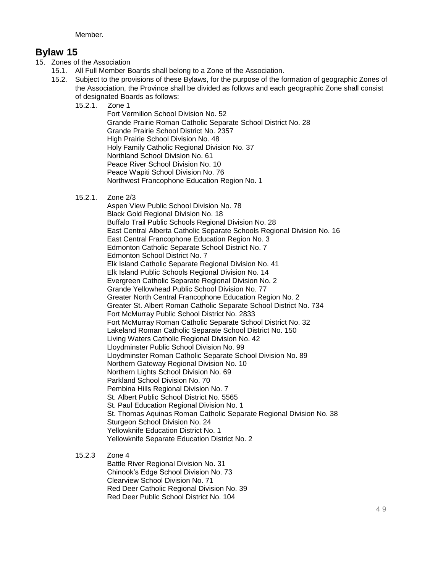**Member** 

## **Bylaw 15**

- 15. Zones of the Association
	- 15.1. All Full Member Boards shall belong to a Zone of the Association.
	- 15.2. Subject to the provisions of these Bylaws, for the purpose of the formation of geographic Zones of the Association, the Province shall be divided as follows and each geographic Zone shall consist of designated Boards as follows:
		- 15.2.1. Zone 1

Fort Vermilion School Division No. 52 Grande Prairie Roman Catholic Separate School District No. 28 Grande Prairie School District No. 2357 High Prairie School Division No. 48 Holy Family Catholic Regional Division No. 37 Northland School Division No. 61 Peace River School Division No. 10 Peace Wapiti School Division No. 76 Northwest Francophone Education Region No. 1

15.2.1. Zone 2/3

Aspen View Public School Division No. 78 Black Gold Regional Division No. 18 Buffalo Trail Public Schools Regional Division No. 28 East Central Alberta Catholic Separate Schools Regional Division No. 16 East Central Francophone Education Region No. 3 Edmonton Catholic Separate School District No. 7 Edmonton School District No. 7 Elk Island Catholic Separate Regional Division No. 41 Elk Island Public Schools Regional Division No. 14 Evergreen Catholic Separate Regional Division No. 2 Grande Yellowhead Public School Division No. 77 Greater North Central Francophone Education Region No. 2 Greater St. Albert Roman Catholic Separate School District No. 734 Fort McMurray Public School District No. 2833 Fort McMurray Roman Catholic Separate School District No. 32 Lakeland Roman Catholic Separate School District No. 150 Living Waters Catholic Regional Division No. 42 Lloydminster Public School Division No. 99 Lloydminster Roman Catholic Separate School Division No. 89 Northern Gateway Regional Division No. 10 Northern Lights School Division No. 69 Parkland School Division No. 70 Pembina Hills Regional Division No. 7 St. Albert Public School District No. 5565 St. Paul Education Regional Division No. 1 St. Thomas Aquinas Roman Catholic Separate Regional Division No. 38 Sturgeon School Division No. 24 Yellowknife Education District No. 1 Yellowknife Separate Education District No. 2

15.2.3 Zone 4

Battle River Regional Division No. 31 Chinook's Edge School Division No. 73 Clearview School Division No. 71 Red Deer Catholic Regional Division No. 39 Red Deer Public School District No. 104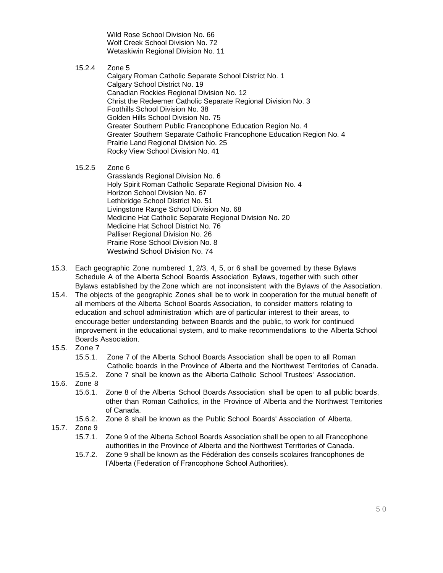Wild Rose School Division No. 66 Wolf Creek School Division No. 72 Wetaskiwin Regional Division No. 11

15.2.4 Zone 5

Calgary Roman Catholic Separate School District No. 1 Calgary School District No. 19 Canadian Rockies Regional Division No. 12 Christ the Redeemer Catholic Separate Regional Division No. 3 Foothills School Division No. 38 Golden Hills School Division No. 75 Greater Southern Public Francophone Education Region No. 4 Greater Southern Separate Catholic Francophone Education Region No. 4 Prairie Land Regional Division No. 25 Rocky View School Division No. 41

15.2.5 Zone 6

Grasslands Regional Division No. 6 Holy Spirit Roman Catholic Separate Regional Division No. 4 Horizon School Division No. 67 Lethbridge School District No. 51 Livingstone Range School Division No. 68 Medicine Hat Catholic Separate Regional Division No. 20 Medicine Hat School District No. 76 Palliser Regional Division No. 26 Prairie Rose School Division No. 8 Westwind School Division No. 74

- 15.3. Each geographic Zone numbered 1, 2/3, 4, 5, or 6 shall be governed by these Bylaws Schedule A of the Alberta School Boards Association Bylaws, together with such other Bylaws established by the Zone which are not inconsistent with the Bylaws of the Association.
- 15.4. The objects of the geographic Zones shall be to work in cooperation for the mutual benefit of all members of the Alberta School Boards Association, to consider matters relating to education and school administration which are of particular interest to their areas, to encourage better understanding between Boards and the public, to work for continued improvement in the educational system, and to make recommendations to the Alberta School Boards Association.
- 15.5. Zone 7
	- 15.5.1. Zone 7 of the Alberta School Boards Association shall be open to all Roman Catholic boards in the Province of Alberta and the Northwest Territories of Canada.
	- 15.5.2. Zone 7 shall be known as the Alberta Catholic School Trustees' Association.
- 15.6. Zone 8
	- 15.6.1. Zone 8 of the Alberta School Boards Association shall be open to all public boards, other than Roman Catholics, in the Province of Alberta and the Northwest Territories of Canada.
	- 15.6.2. Zone 8 shall be known as the Public School Boards' Association of Alberta.
- 15.7. Zone 9
	- 15.7.1. Zone 9 of the Alberta School Boards Association shall be open to all Francophone authorities in the Province of Alberta and the Northwest Territories of Canada.
	- 15.7.2. Zone 9 shall be known as the Fédération des conseils scolaires francophones de l'Alberta (Federation of Francophone School Authorities).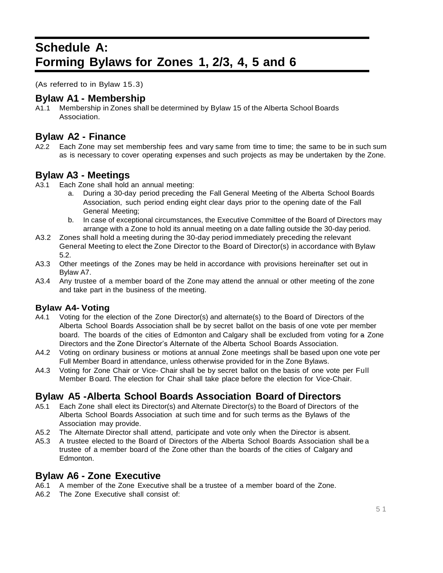## **Schedule A: Forming Bylaws for Zones 1, 2/3, 4, 5 and 6**

(As referred to in Bylaw 15.3)

## **Bylaw A1 - Membership**

A1.1 Membership in Zones shall be determined by Bylaw 15 of the Alberta School Boards Association.

## **Bylaw A2 - Finance**

A2.2 Each Zone may set membership fees and vary same from time to time; the same to be in such sum as is necessary to cover operating expenses and such projects as may be undertaken by the Zone.

## **Bylaw A3 - Meetings**

- A3.1 Each Zone shall hold an annual meeting:
	- a. During a 30-day period preceding the Fall General Meeting of the Alberta School Boards Association, such period ending eight clear days prior to the opening date of the Fall General Meeting;
	- b. In case of exceptional circumstances, the Executive Committee of the Board of Directors may arrange with a Zone to hold its annual meeting on a date falling outside the 30-day period.
- A3.2 Zones shall hold a meeting during the 30-day period immediately preceding the relevant General Meeting to elect the Zone Director to the Board of Director(s) in accordance with Bylaw 5.2.
- A3.3 Other meetings of the Zones may be held in accordance with provisions hereinafter set out in Bylaw A7.
- A3.4 Any trustee of a member board of the Zone may attend the annual or other meeting of the zone and take part in the business of the meeting.

## **Bylaw A4- Voting**

- A4.1 Voting for the election of the Zone Director(s) and alternate(s) to the Board of Directors of the Alberta School Boards Association shall be by secret ballot on the basis of one vote per member board. The boards of the cities of Edmonton and Calgary shall be excluded from voting for a Zone Directors and the Zone Director's Alternate of the Alberta School Boards Association.
- A4.2 Voting on ordinary business or motions at annual Zone meetings shall be based upon one vote per Full Member Board in attendance, unless otherwise provided for in the Zone Bylaws.
- A4.3 Voting for Zone Chair or Vice- Chair shall be by secret ballot on the basis of one vote per Full Member Board. The election for Chair shall take place before the election for Vice-Chair.

## **Bylaw A5 -Alberta School Boards Association Board of Directors**

- A5.1 Each Zone shall elect its Director(s) and Alternate Director(s) to the Board of Directors of the Alberta School Boards Association at such time and for such terms as the Bylaws of the Association may provide.
- A5.2 The Alternate Director shall attend, participate and vote only when the Director is absent.
- A5.3 A trustee elected to the Board of Directors of the Alberta School Boards Association shall be a trustee of a member board of the Zone other than the boards of the cities of Calgary and Edmonton.

## **Bylaw A6 - Zone Executive**

- A6.1 A member of the Zone Executive shall be a trustee of a member board of the Zone.
- A6.2 The Zone Executive shall consist of: